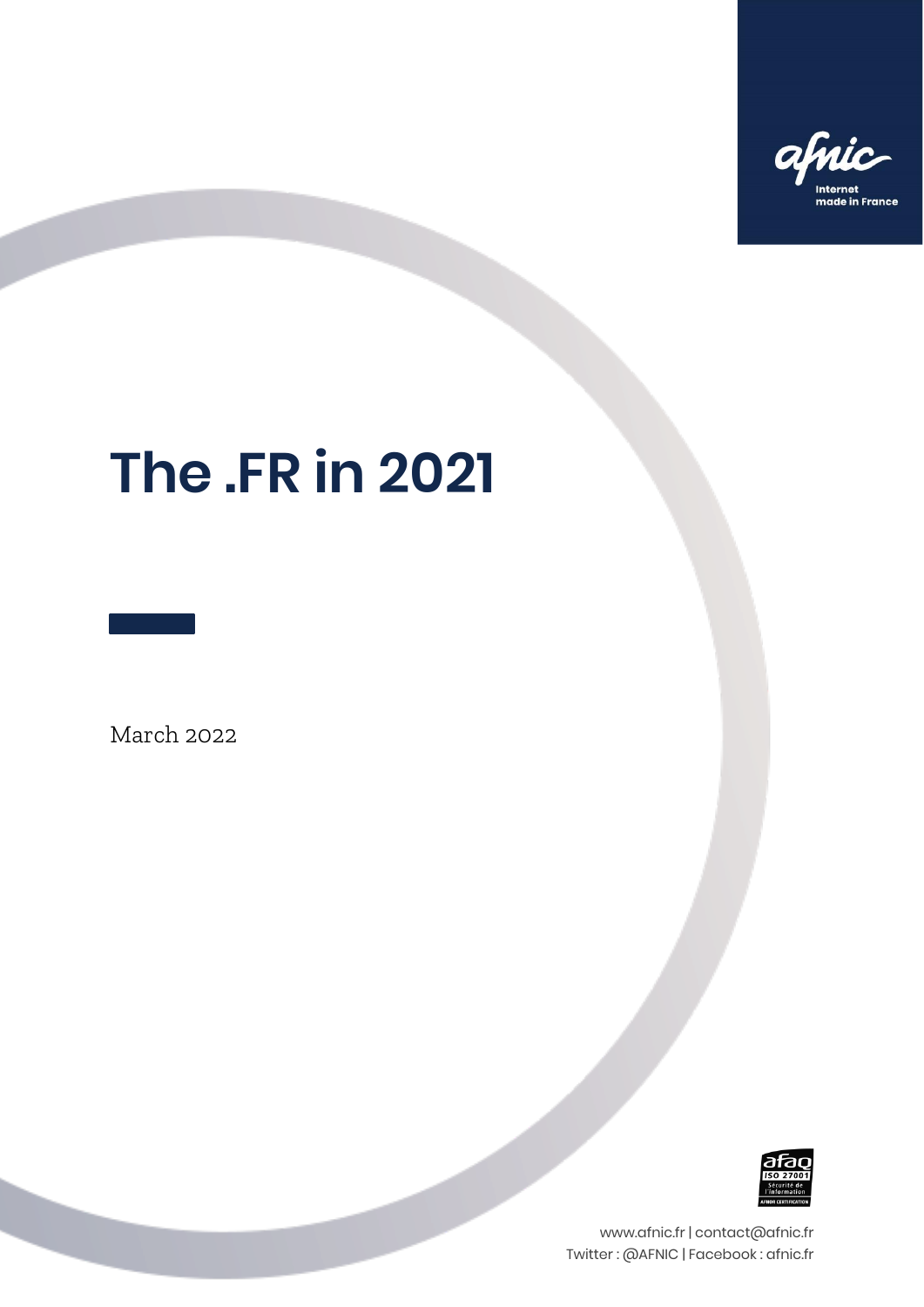

# **The .FR in 2021**

March 2022



www.afnic.fr | contact@afnic.fr Twitter : @AFNIC | Facebook : afnic.fr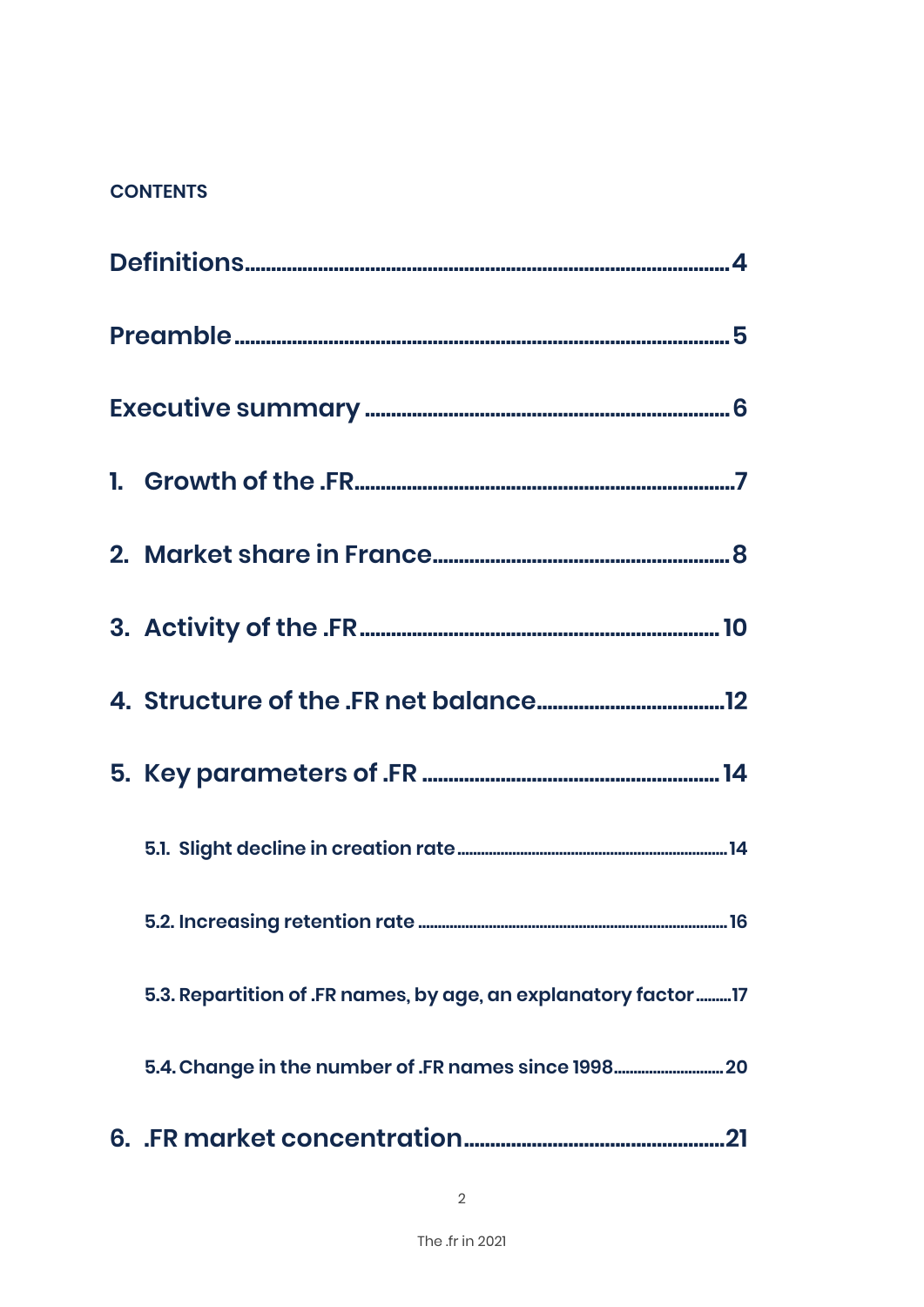#### **CONTENTS**

| 5.3. Repartition of .FR names, by age, an explanatory factor  17 |
|------------------------------------------------------------------|
| 5.4. Change in the number of .FR names since 1998 20             |
|                                                                  |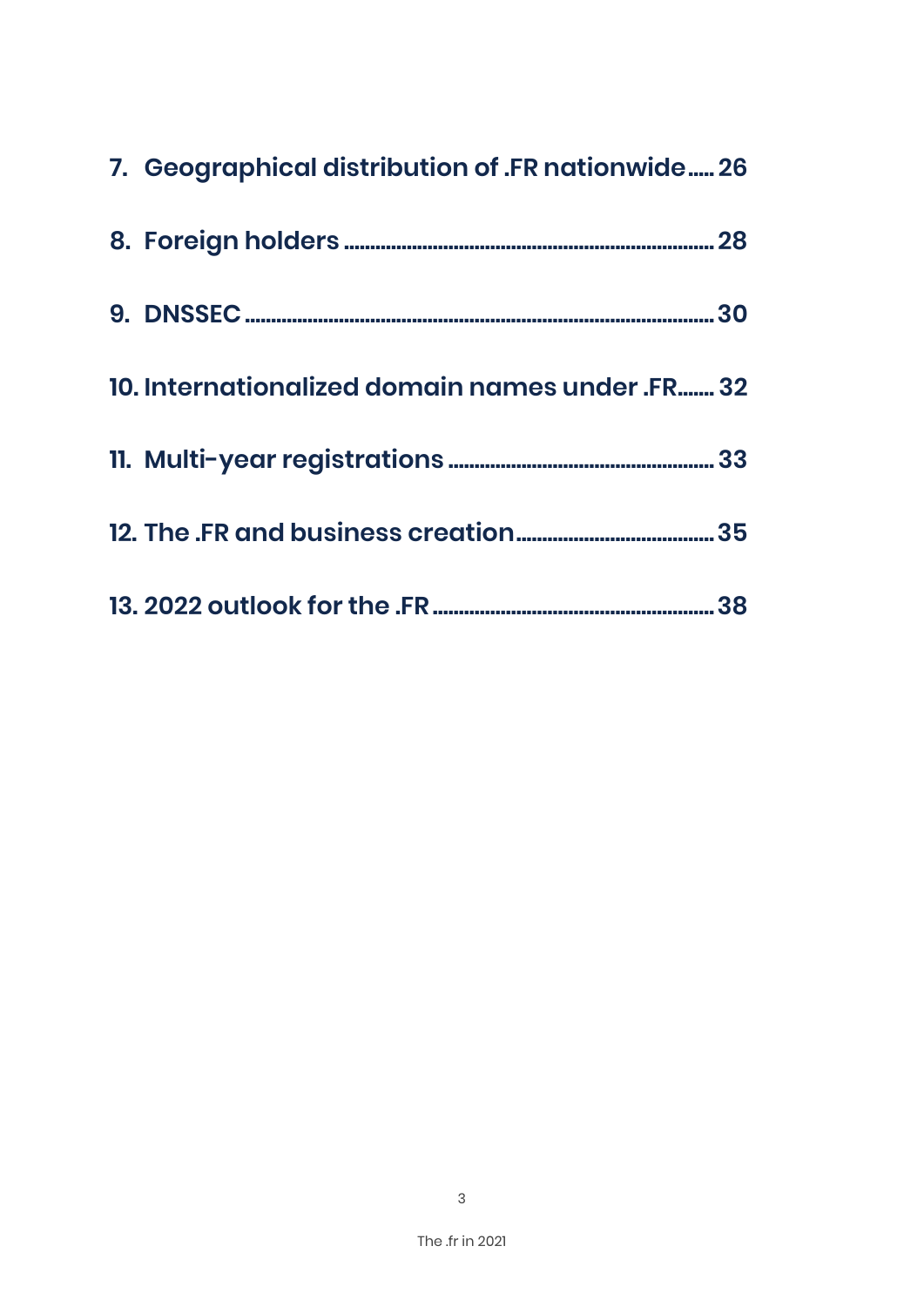| 7. Geographical distribution of .FR nationwide 26 |  |
|---------------------------------------------------|--|
|                                                   |  |
|                                                   |  |
| 10. Internationalized domain names under .FR 32   |  |
|                                                   |  |
|                                                   |  |
|                                                   |  |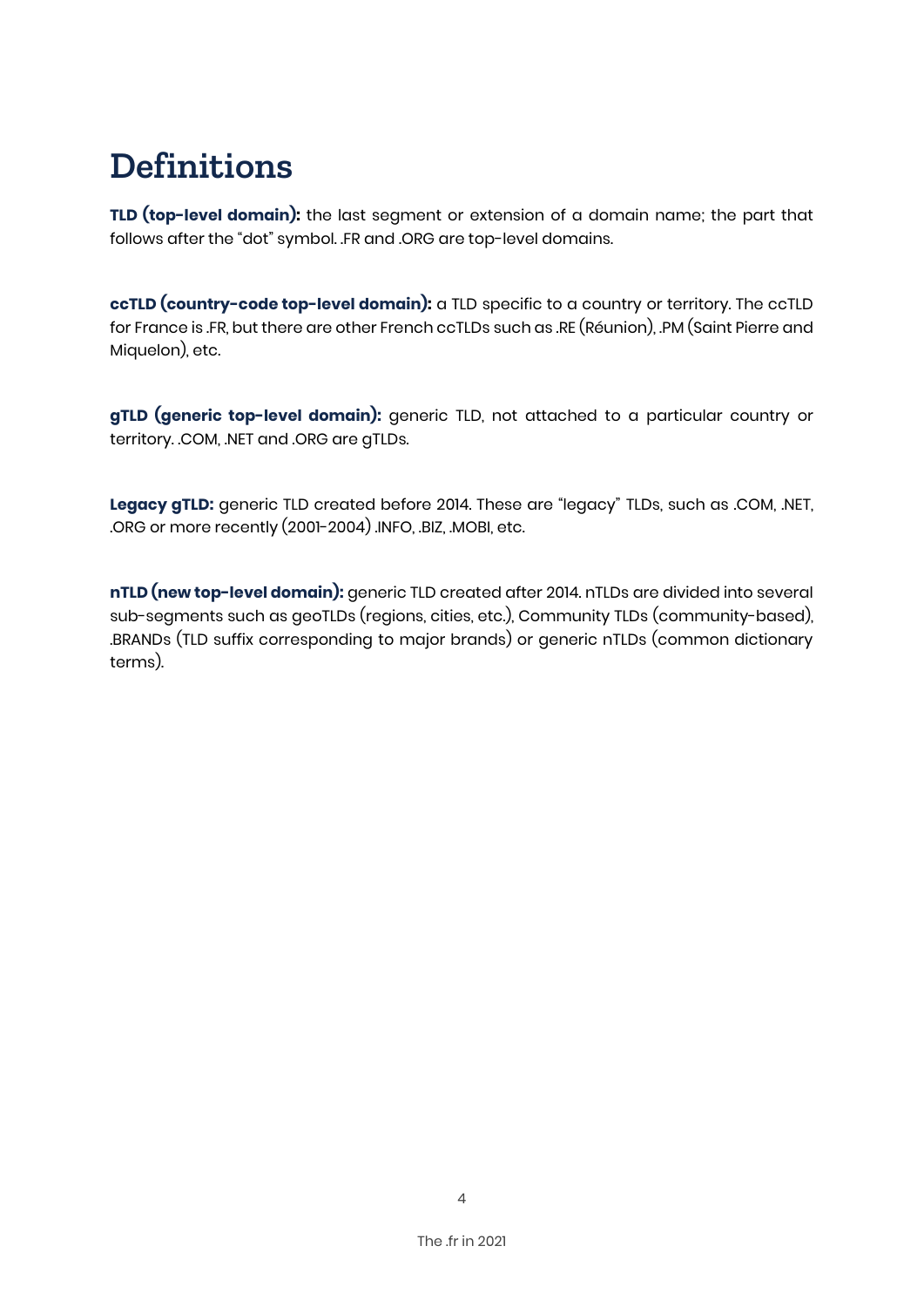# **Definitions**

**TLD (top-level domain):** the last segment or extension of a domain name; the part that follows after the "dot" symbol. .FR and .ORG are top-level domains.

**ccTLD (country-code top-level domain):** a TLD specific to a country or territory. The ccTLD for France is .FR, but there are other French ccTLDs such as .RE (Réunion), .PM (Saint Pierre and Miquelon), etc.

**gTLD (generic top-level domain):** generic TLD, not attached to a particular country or territory. .COM, .NET and .ORG are gTLDs.

**Legacy gTLD:** generic TLD created before 2014. These are "legacy" TLDs, such as .COM, .NET, .ORG or more recently (2001-2004) .INFO, .BIZ, .MOBI, etc.

**nTLD (new top-level domain):** generic TLD created after 2014. nTLDs are divided into several sub-segments such as geoTLDs (regions, cities, etc.), Community TLDs (community-based), .BRANDs (TLD suffix corresponding to major brands) or generic nTLDs (common dictionary terms).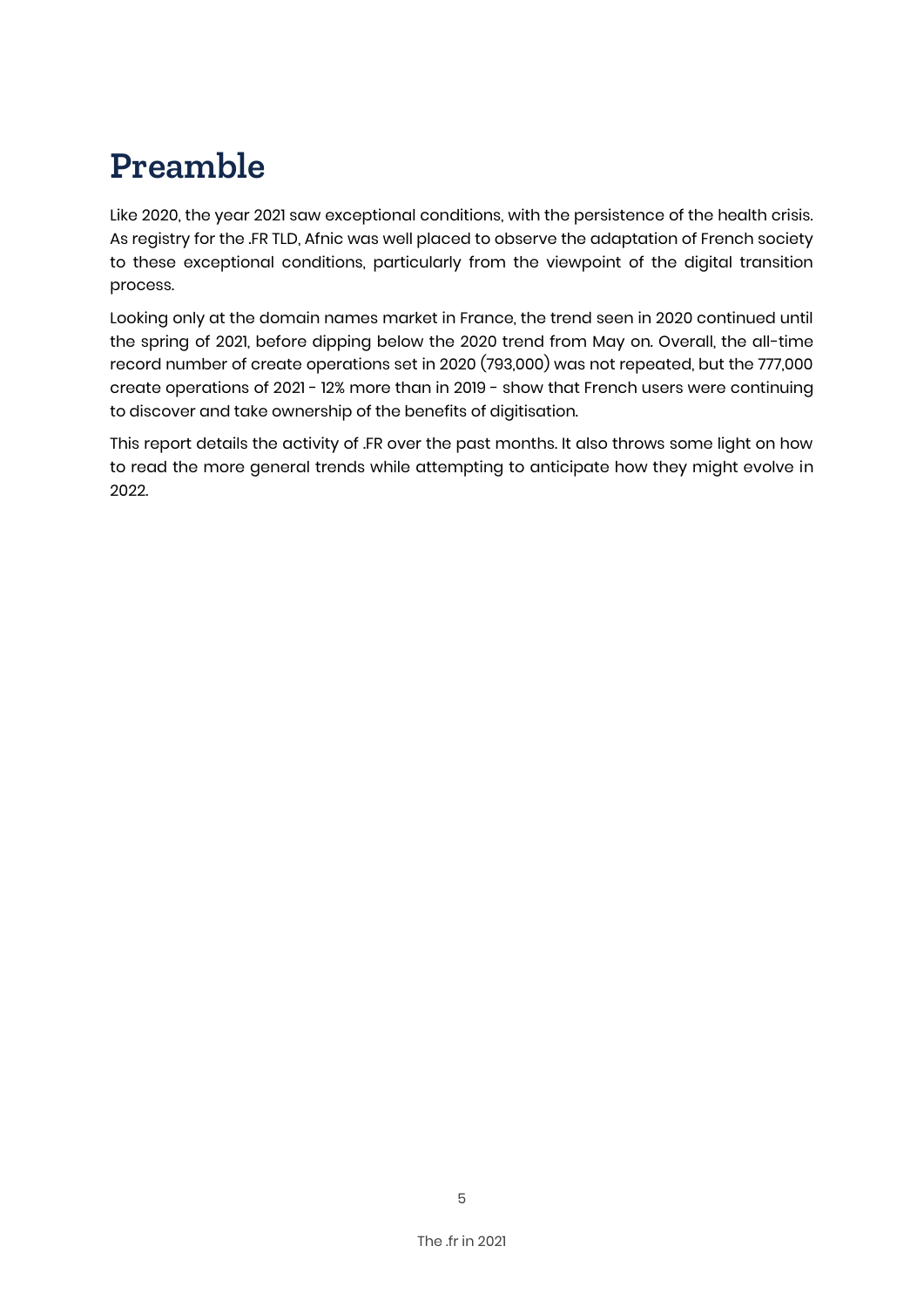# **Preamble**

Like 2020, the year 2021 saw exceptional conditions, with the persistence of the health crisis. As registry for the .FR TLD, Afnic was well placed to observe the adaptation of French society to these exceptional conditions, particularly from the viewpoint of the digital transition process.

Looking only at the domain names market in France, the trend seen in 2020 continued until the spring of 2021, before dipping below the 2020 trend from May on. Overall, the all-time record number of create operations set in 2020 (793,000) was not repeated, but the 777,000 create operations of 2021 - 12% more than in 2019 - show that French users were continuing to discover and take ownership of the benefits of digitisation.

This report details the activity of .FR over the past months. It also throws some light on how to read the more general trends while attempting to anticipate how they might evolve in 2022.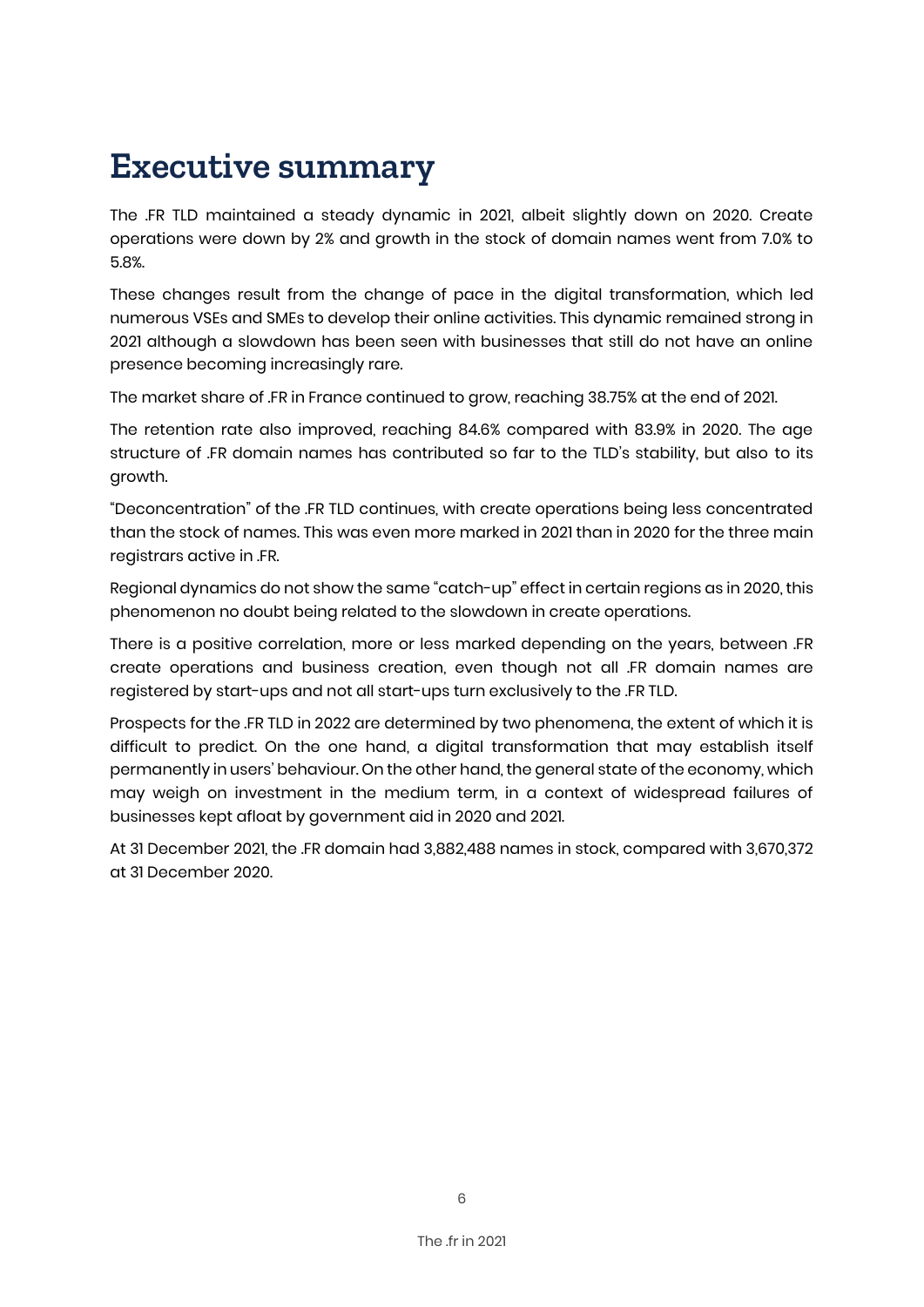# **Executive summary**

The .FR TLD maintained a steady dynamic in 2021, albeit slightly down on 2020. Create operations were down by 2% and growth in the stock of domain names went from 7.0% to 5.8%.

These changes result from the change of pace in the digital transformation, which led numerous VSEs and SMEs to develop their online activities. This dynamic remained strong in 2021 although a slowdown has been seen with businesses that still do not have an online presence becoming increasingly rare.

The market share of .FR in France continued to grow, reaching 38.75% at the end of 2021.

The retention rate also improved, reaching 84.6% compared with 83.9% in 2020. The age structure of .FR domain names has contributed so far to the TLD's stability, but also to its growth.

"Deconcentration" of the .FR TLD continues, with create operations being less concentrated than the stock of names. This was even more marked in 2021 than in 2020 for the three main registrars active in .FR.

Regional dynamics do not show the same "catch-up" effect in certain regions as in 2020, this phenomenon no doubt being related to the slowdown in create operations.

There is a positive correlation, more or less marked depending on the years, between .FR create operations and business creation, even though not all .FR domain names are registered by start-ups and not all start-ups turn exclusively to the .FR TLD.

Prospects for the .FR TLD in 2022 are determined by two phenomena, the extent of which it is difficult to predict. On the one hand, a digital transformation that may establish itself permanently in users' behaviour. On the other hand, the general state of the economy, which may weigh on investment in the medium term, in a context of widespread failures of businesses kept afloat by government aid in 2020 and 2021.

At 31 December 2021, the .FR domain had 3,882,488 names in stock, compared with 3,670,372 at 31 December 2020.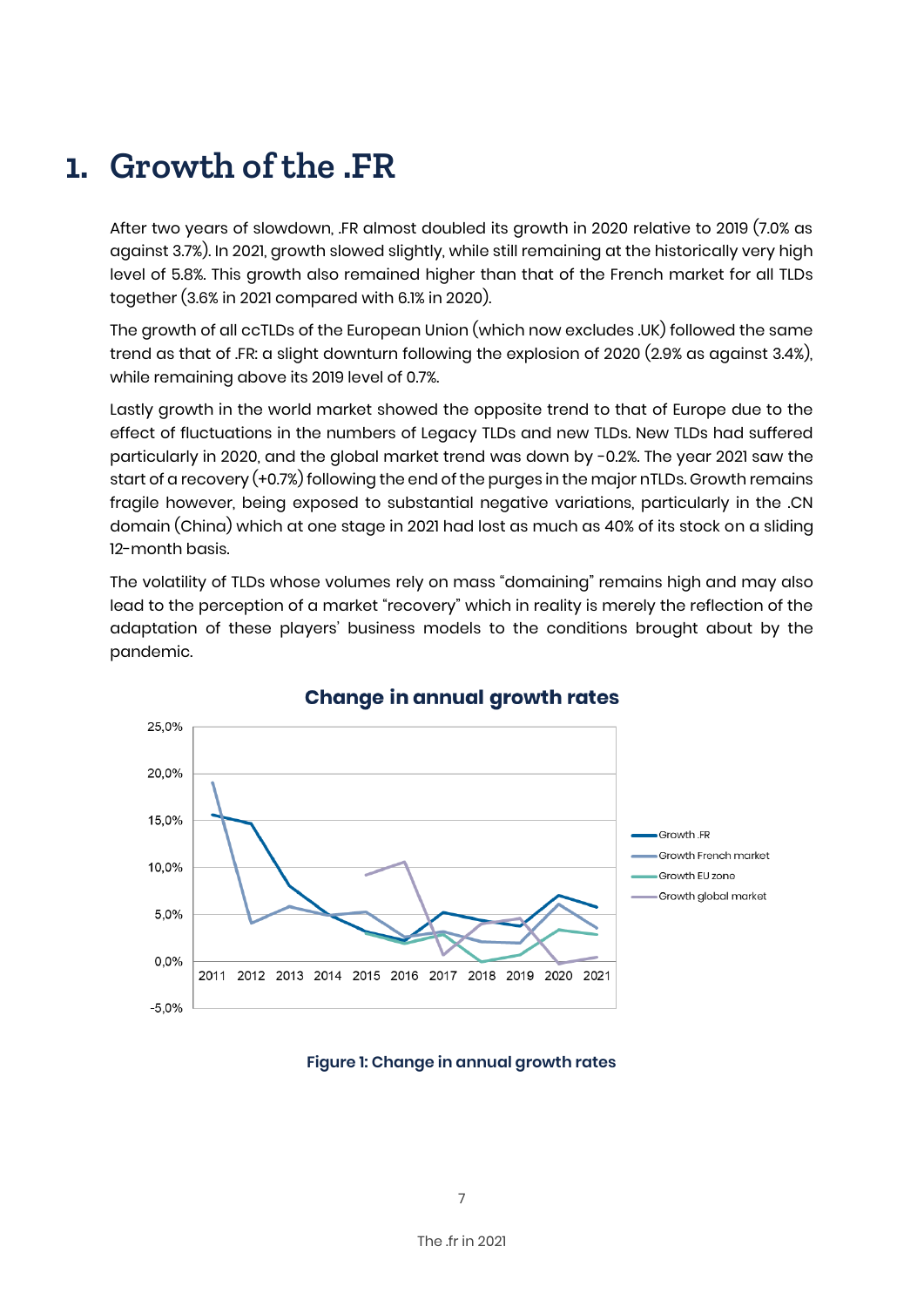### **1. Growth of the .FR**

After two years of slowdown, .FR almost doubled its growth in 2020 relative to 2019 (7.0% as against 3.7%). In 2021, growth slowed slightly, while still remaining at the historically very high level of 5.8%. This growth also remained higher than that of the French market for all TLDs together (3.6% in 2021 compared with 6.1% in 2020).

The growth of all ccTLDs of the European Union (which now excludes .UK) followed the same trend as that of .FR: a slight downturn following the explosion of 2020 (2.9% as against 3.4%), while remaining above its 2019 level of 0.7%.

Lastly growth in the world market showed the opposite trend to that of Europe due to the effect of fluctuations in the numbers of Legacy TLDs and new TLDs. New TLDs had suffered particularly in 2020, and the global market trend was down by -0.2%. The year 2021 saw the start of a recovery (+0.7%) following the end of the purges in the major nTLDs. Growth remains fragile however, being exposed to substantial negative variations, particularly in the .CN domain (China) which at one stage in 2021 had lost as much as 40% of its stock on a sliding 12-month basis.

The volatility of TLDs whose volumes rely on mass "domaining" remains high and may also lead to the perception of a market "recovery" which in reality is merely the reflection of the adaptation of these players' business models to the conditions brought about by the pandemic.



### **Change in annual growth rates**

#### **Figure 1: Change in annual growth rates**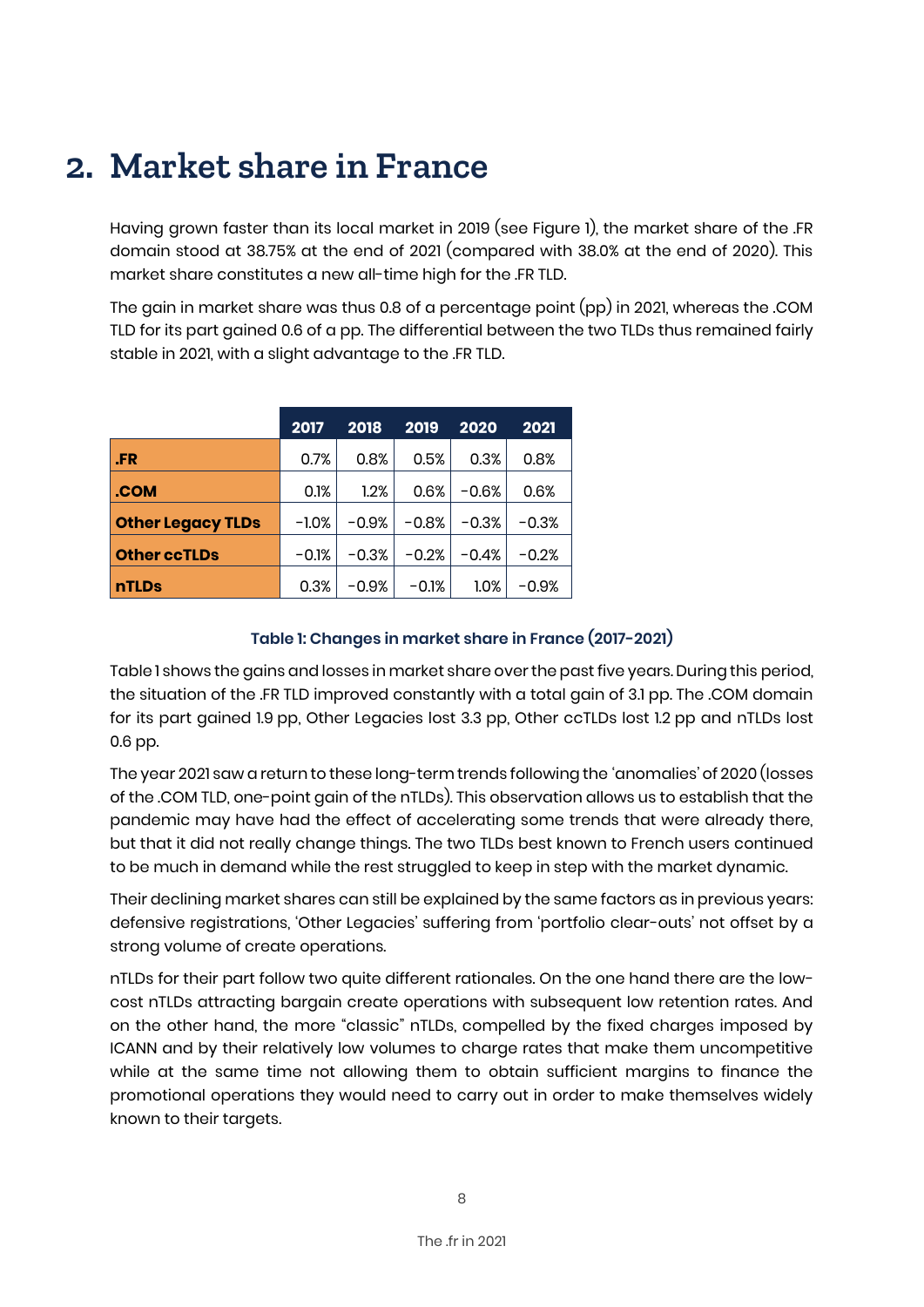### **2. Market share in France**

Having grown faster than its local market in 2019 (see Figure 1), the market share of the .FR domain stood at 38.75% at the end of 2021 (compared with 38.0% at the end of 2020). This market share constitutes a new all-time high for the .FR TLD.

The gain in market share was thus 0.8 of a percentage point (pp) in 2021, whereas the .COM TLD for its part gained 0.6 of a pp. The differential between the two TLDs thus remained fairly stable in 2021, with a slight advantage to the .FR TLD.

|                          | 2017    | 2018    | 2019    | 2020    | 2021    |
|--------------------------|---------|---------|---------|---------|---------|
| .FR                      | 0.7%    | 0.8%    | 0.5%    | 0.3%    | 0.8%    |
| .COM                     | 0.1%    | 1.2%    | 0.6%    | $-0.6%$ | 0.6%    |
| <b>Other Legacy TLDs</b> | $-1.0%$ | $-0.9%$ | $-0.8%$ | $-0.3%$ | $-0.3%$ |
| <b>Other ccTLDs</b>      | $-0.1%$ | $-0.3%$ | $-0.2%$ | $-0.4%$ | $-0.2%$ |
| <b>nTLDs</b>             | 0.3%    | $-0.9%$ | $-0.1%$ | $1.0\%$ | -0.9%   |

#### **Table 1: Changes in market share in France (2017-2021)**

Table 1 shows the gains and losses in market share over the past five years. During this period, the situation of the .FR TLD improved constantly with a total gain of 3.1 pp. The .COM domain for its part gained 1.9 pp, Other Legacies lost 3.3 pp, Other ccTLDs lost 1.2 pp and nTLDs lost 0.6 pp.

The year 2021 saw a return to these long-term trends following the 'anomalies' of 2020 (losses of the .COM TLD, one-point gain of the nTLDs). This observation allows us to establish that the pandemic may have had the effect of accelerating some trends that were already there, but that it did not really change things. The two TLDs best known to French users continued to be much in demand while the rest struggled to keep in step with the market dynamic.

Their declining market shares can still be explained by the same factors as in previous years: defensive registrations, 'Other Legacies' suffering from 'portfolio clear-outs' not offset by a strong volume of create operations.

nTLDs for their part follow two quite different rationales. On the one hand there are the lowcost nTLDs attracting bargain create operations with subsequent low retention rates. And on the other hand, the more "classic" nTLDs, compelled by the fixed charges imposed by ICANN and by their relatively low volumes to charge rates that make them uncompetitive while at the same time not allowing them to obtain sufficient margins to finance the promotional operations they would need to carry out in order to make themselves widely known to their targets.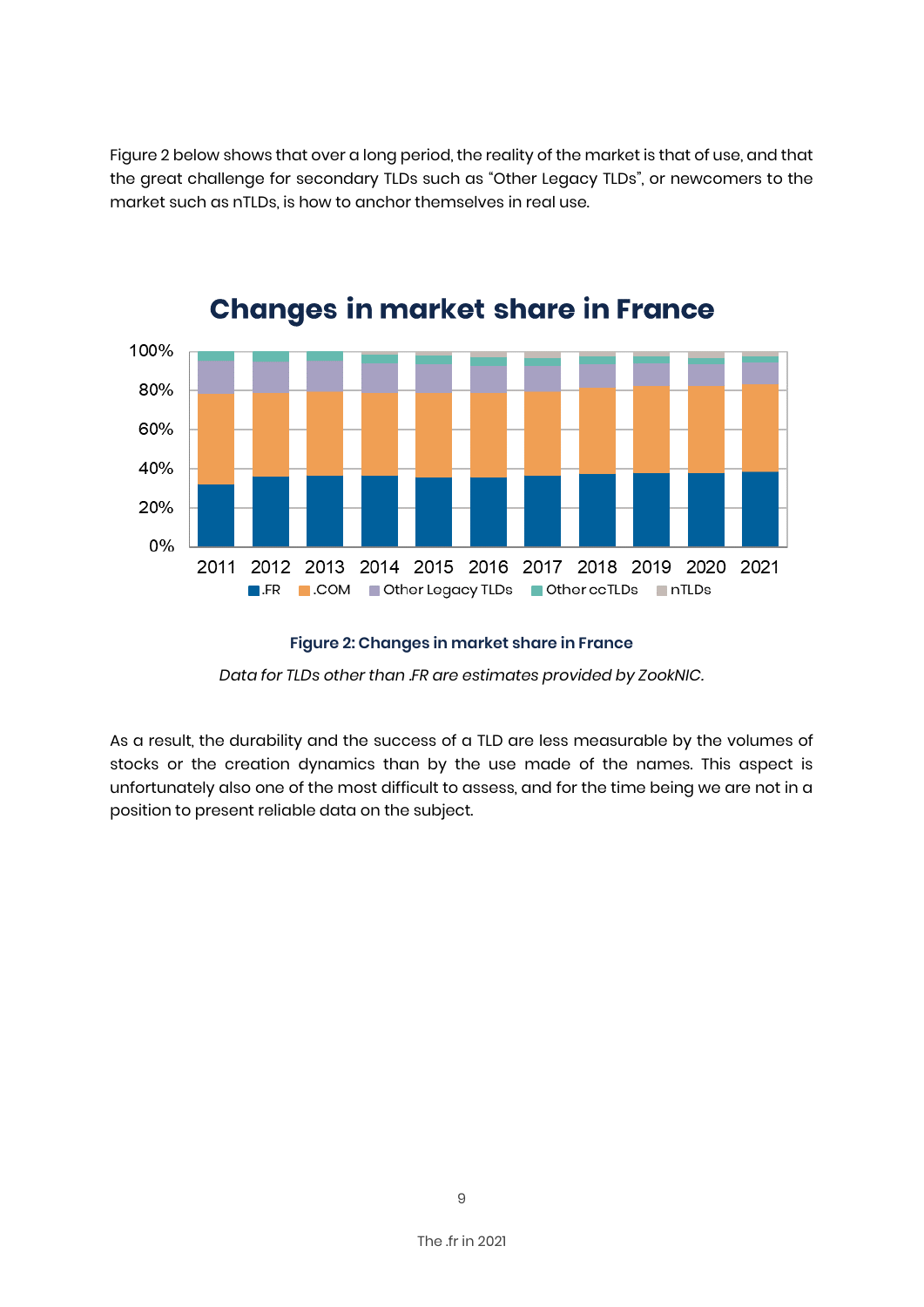Figure 2 below shows that over a long period, the reality of the market is that of use, and that the great challenge for secondary TLDs such as "Other Legacy TLDs", or newcomers to the market such as nTLDs, is how to anchor themselves in real use.



### **Changes in market share in France**

#### **Figure 2: Changes in market share in France**

*Data for TLDs other than .FR are estimates provided by ZookNIC.*

As a result, the durability and the success of a TLD are less measurable by the volumes of stocks or the creation dynamics than by the use made of the names. This aspect is unfortunately also one of the most difficult to assess, and for the time being we are not in a position to present reliable data on the subject.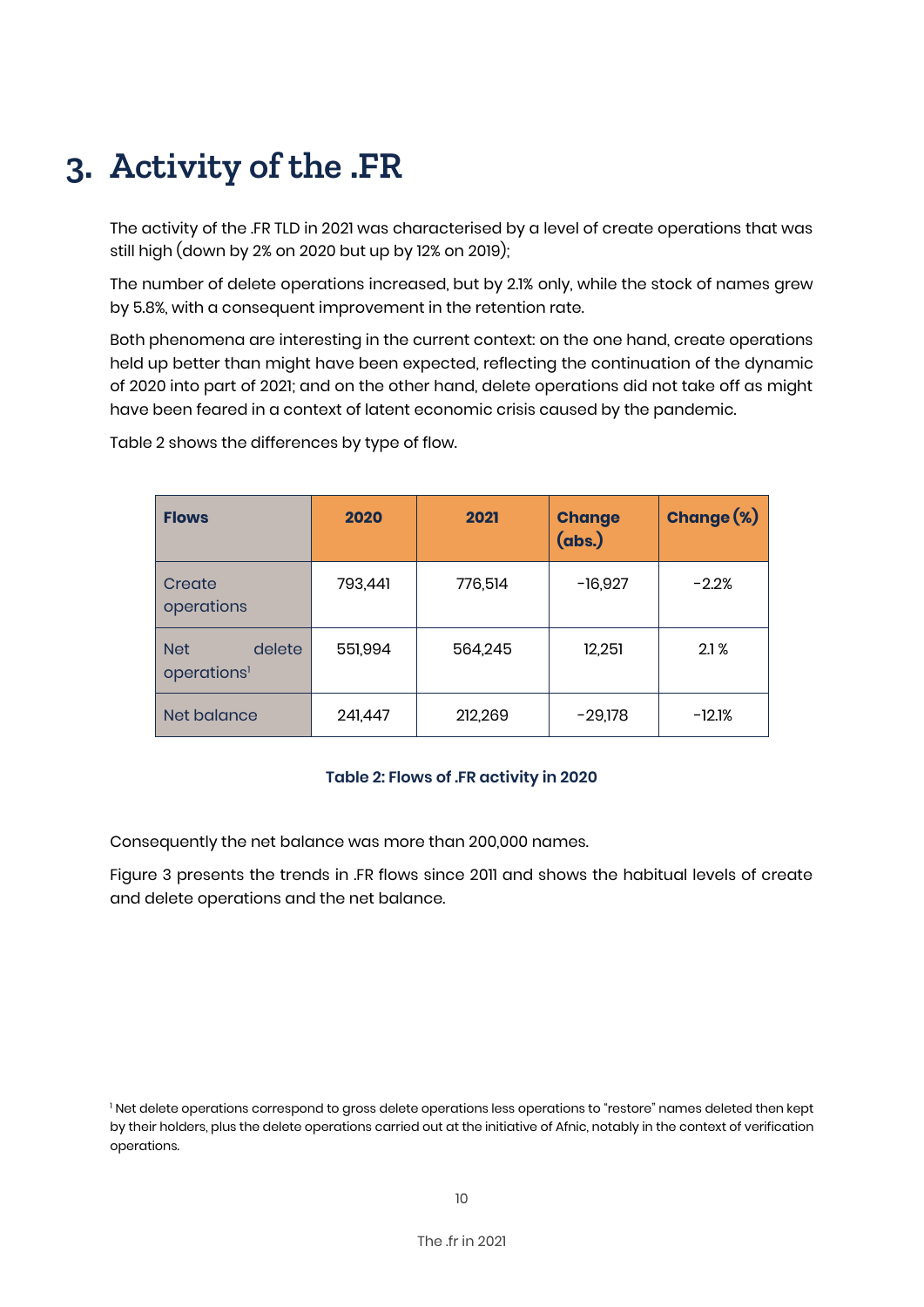# **3. Activity of the .FR**

The activity of the .FR TLD in 2021 was characterised by a level of create operations that was still high (down by 2% on 2020 but up by 12% on 2019);

The number of delete operations increased, but by 2.1% only, while the stock of names grew by 5.8%, with a consequent improvement in the retention rate.

Both phenomena are interesting in the current context: on the one hand, create operations held up better than might have been expected, reflecting the continuation of the dynamic of 2020 into part of 2021; and on the other hand, delete operations did not take off as might have been feared in a context of latent economic crisis caused by the pandemic.

| <b>Flows</b>                                    | 2020    | 2021    | <b>Change</b><br>(abs.) | <b>Change (%)</b> |
|-------------------------------------------------|---------|---------|-------------------------|-------------------|
| Create<br>operations                            | 793,441 | 776,514 | $-16,927$               | $-2.2%$           |
| <b>Net</b><br>delete<br>operations <sup>1</sup> | 551,994 | 564,245 | 12,251                  | 2.1%              |
| Net balance                                     | 241,447 | 212,269 | $-29,178$               | $-12.1%$          |

Table 2 shows the differences by type of flow.

#### **Table 2: Flows of .FR activity in 2020**

Consequently the net balance was more than 200,000 names.

Figure 3 presents the trends in .FR flows since 2011 and shows the habitual levels of create and delete operations and the net balance.

<sup>&</sup>lt;sup>1</sup> Net delete operations correspond to gross delete operations less operations to "restore" names deleted then kept by their holders, plus the delete operations carried out at the initiative of Afnic, notably in the context of verification operations.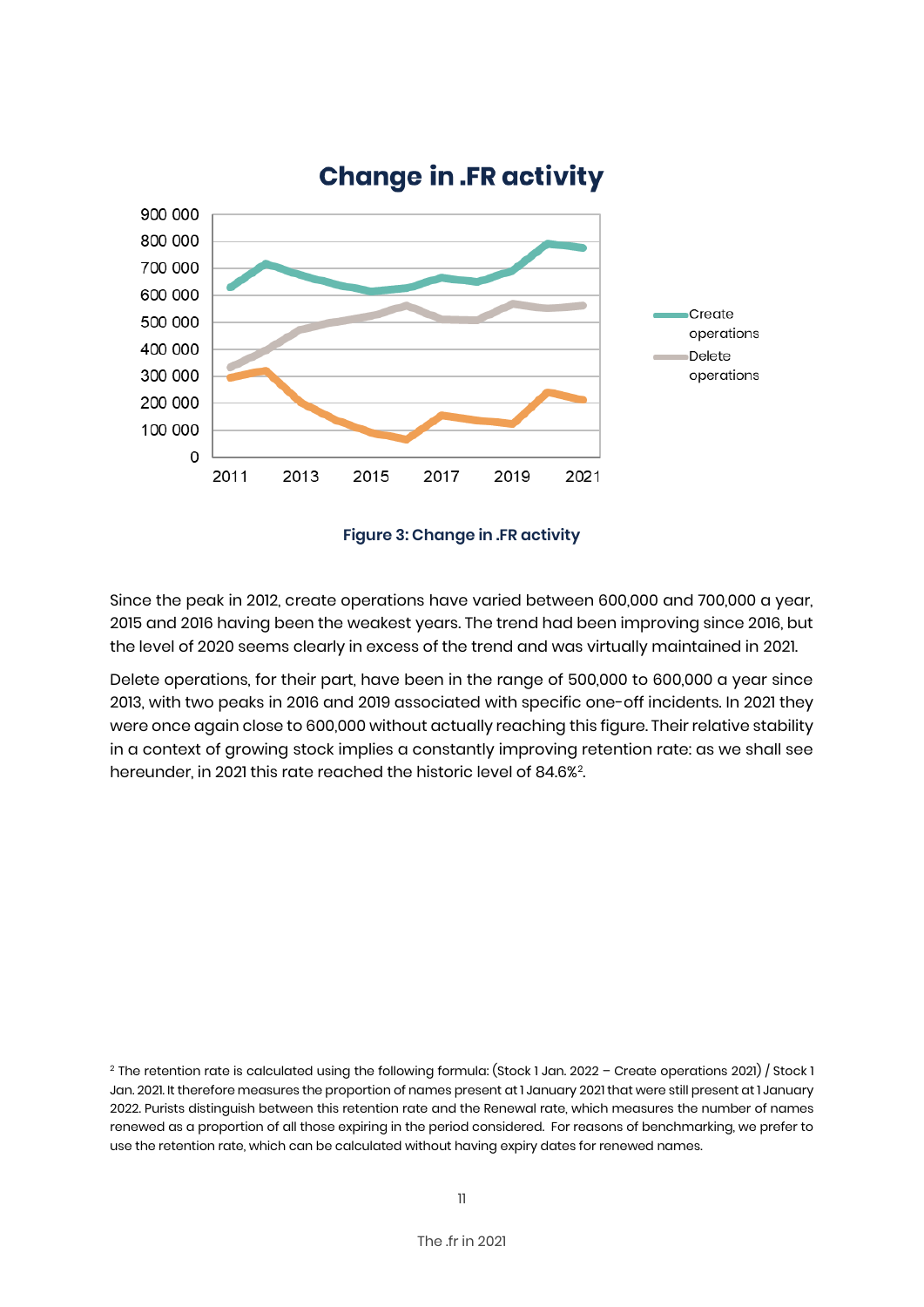

### **Change in .FR activity**

**Figure 3: Change in .FR activity**

Since the peak in 2012, create operations have varied between 600,000 and 700,000 a year, 2015 and 2016 having been the weakest years. The trend had been improving since 2016, but the level of 2020 seems clearly in excess of the trend and was virtually maintained in 2021.

Delete operations, for their part, have been in the range of 500,000 to 600,000 a year since 2013, with two peaks in 2016 and 2019 associated with specific one-off incidents. In 2021 they were once again close to 600,000 without actually reaching this figure. Their relative stability in a context of growing stock implies a constantly improving retention rate: as we shall see hereunder, in 2021 this rate reached the historic level of 84.6%<sup>2</sup>. .

<sup>&</sup>lt;sup>2</sup> The retention rate is calculated using the following formula: (Stock 1 Jan. 2022 – Create operations 2021) / Stock 1 Jan. 2021. It therefore measures the proportion of names present at 1 January 2021 that were still present at 1 January 2022. Purists distinguish between this retention rate and the Renewal rate, which measures the number of names renewed as a proportion of all those expiring in the period considered. For reasons of benchmarking, we prefer to use the retention rate, which can be calculated without having expiry dates for renewed names.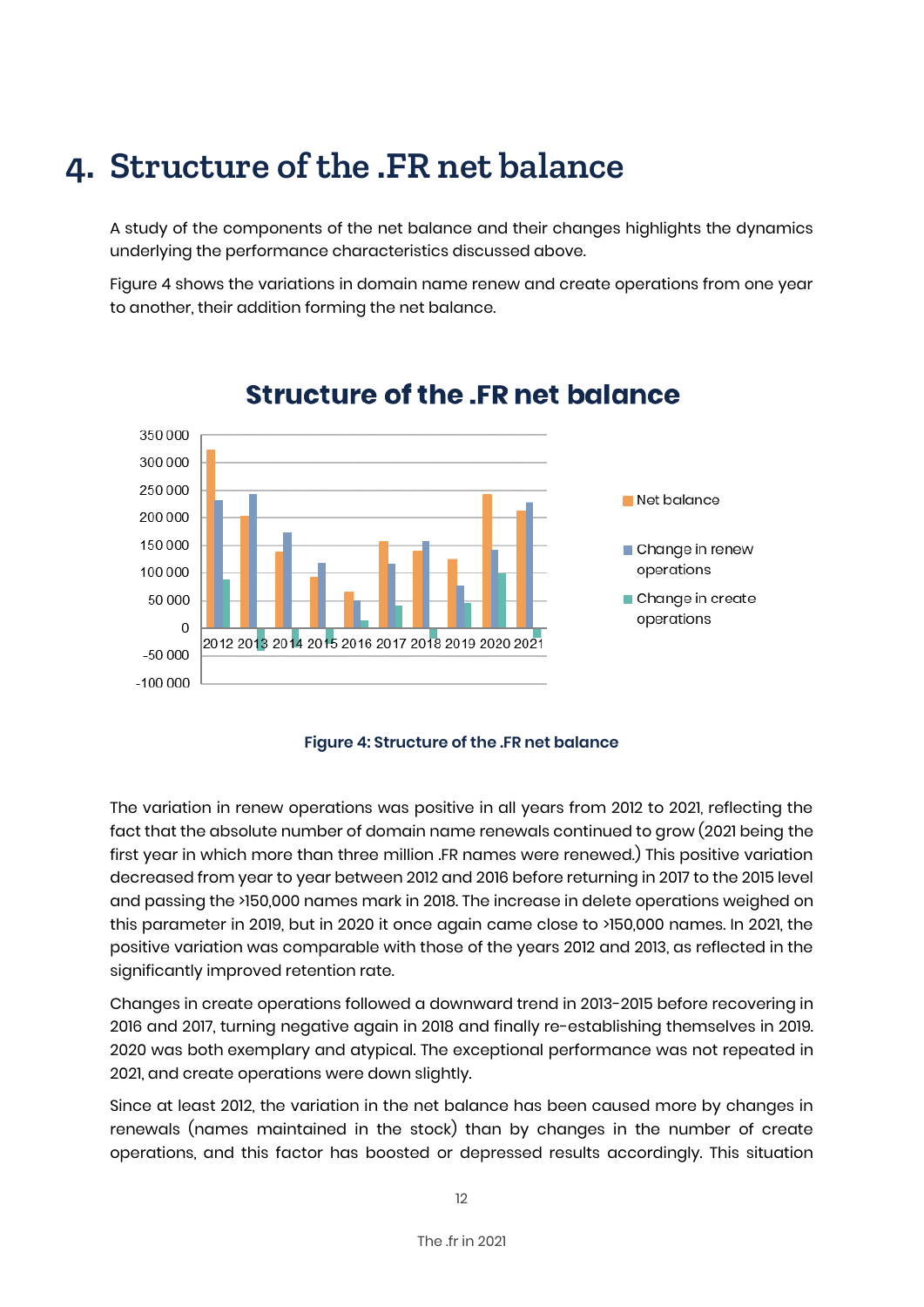### **4. Structure of the .FR net balance**

A study of the components of the net balance and their changes highlights the dynamics underlying the performance characteristics discussed above.

Figure 4 shows the variations in domain name renew and create operations from one year to another, their addition forming the net balance.



### **Structure of the .FR net balance**

**Figure 4: Structure of the .FR net balance**

The variation in renew operations was positive in all years from 2012 to 2021, reflecting the fact that the absolute number of domain name renewals continued to grow (2021 being the first year in which more than three million .FR names were renewed.) This positive variation decreased from year to year between 2012 and 2016 before returning in 2017 to the 2015 level and passing the >150,000 names mark in 2018. The increase in delete operations weighed on this parameter in 2019, but in 2020 it once again came close to >150,000 names. In 2021, the positive variation was comparable with those of the years 2012 and 2013, as reflected in the significantly improved retention rate.

Changes in create operations followed a downward trend in 2013-2015 before recovering in 2016 and 2017, turning negative again in 2018 and finally re-establishing themselves in 2019. 2020 was both exemplary and atypical. The exceptional performance was not repeated in 2021, and create operations were down slightly.

Since at least 2012, the variation in the net balance has been caused more by changes in renewals (names maintained in the stock) than by changes in the number of create operations, and this factor has boosted or depressed results accordingly. This situation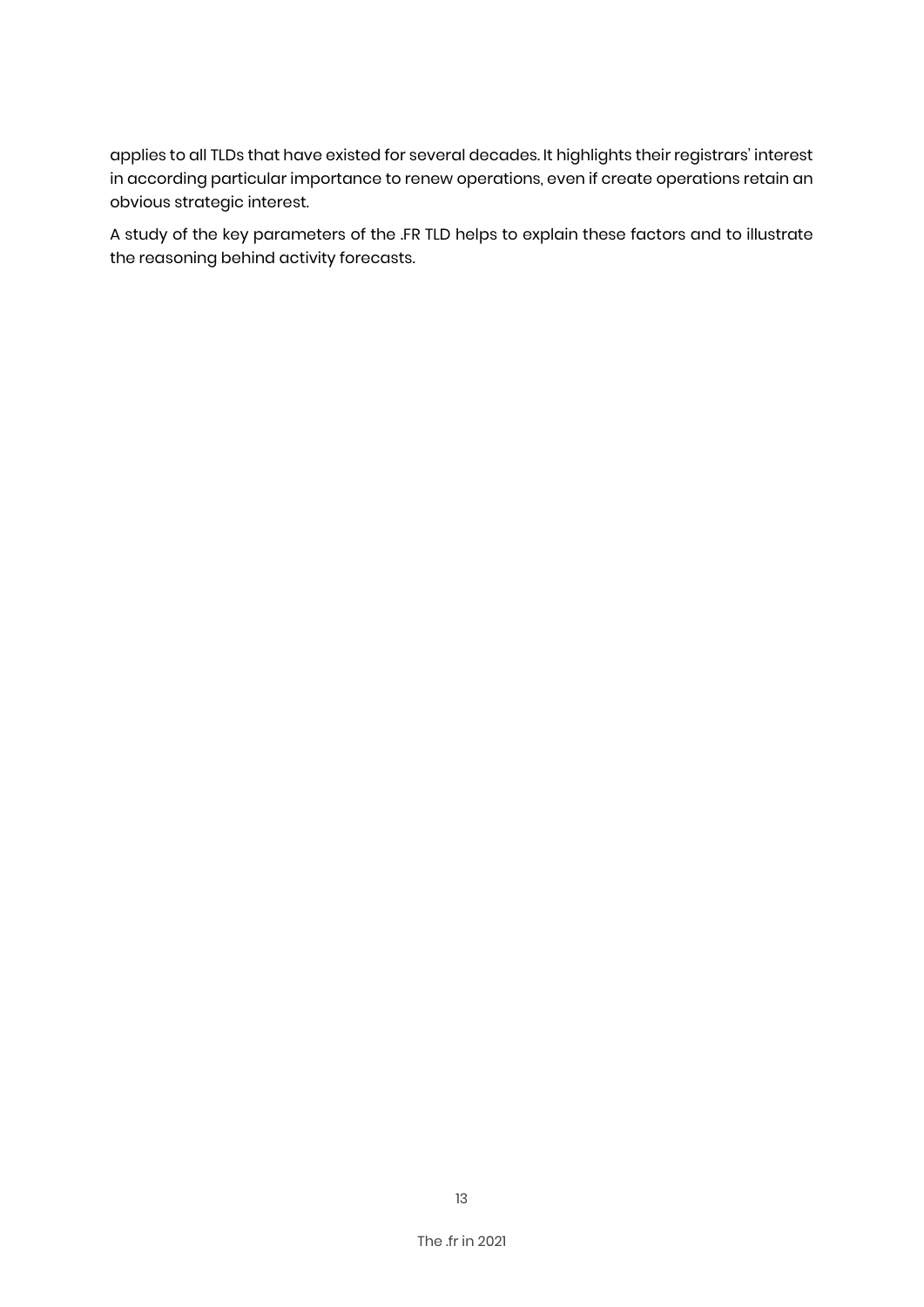applies to all TLDs that have existed for several decades. It highlights their registrars' interest in according particular importance to renew operations, even if create operations retain an obvious strategic interest.

A study of the key parameters of the .FR TLD helps to explain these factors and to illustrate the reasoning behind activity forecasts.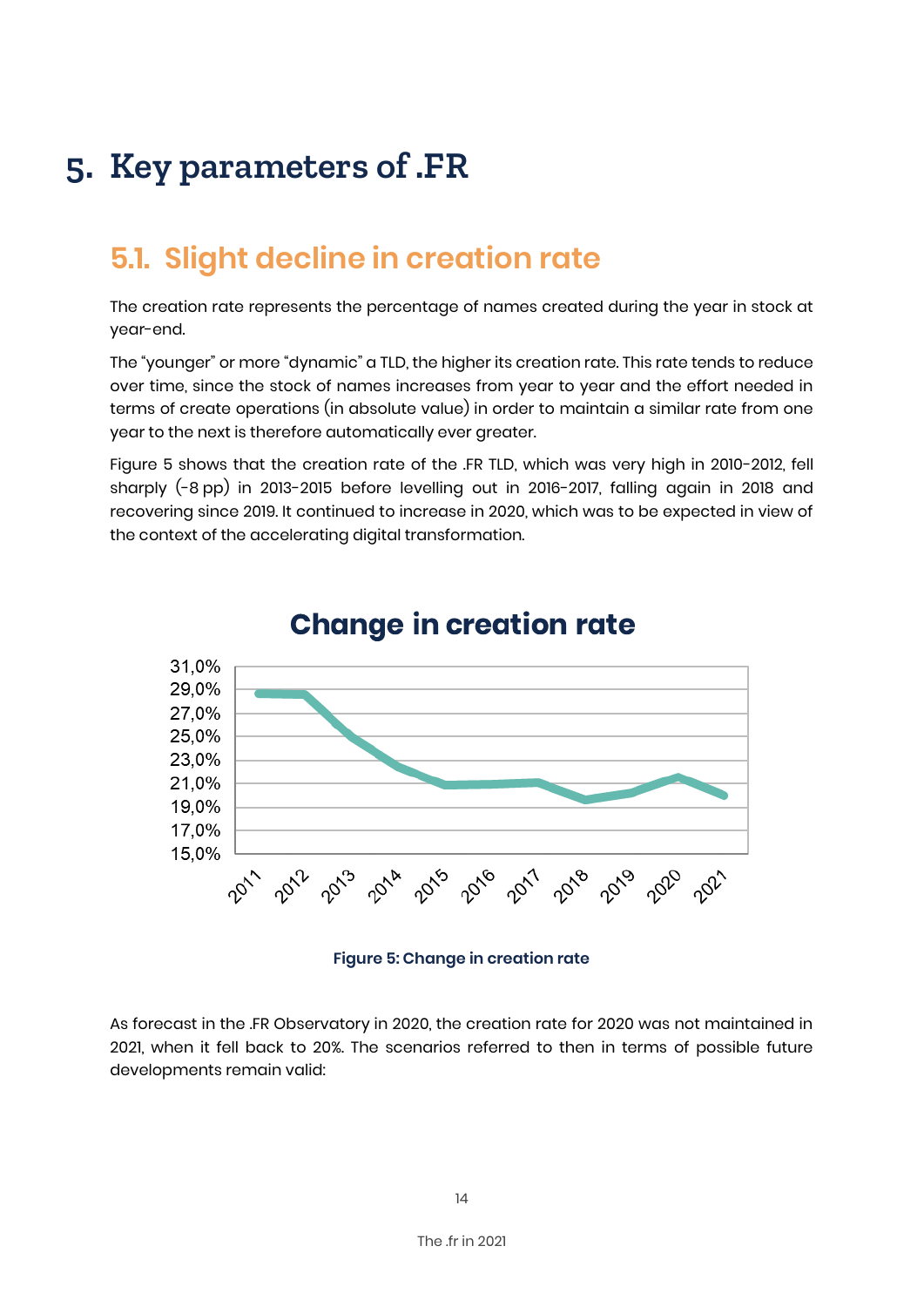# **5. Key parameters of .FR**

### **5.1. Slight decline in creation rate**

The creation rate represents the percentage of names created during the year in stock at year-end.

The "younger" or more "dynamic" a TLD, the higher its creation rate. This rate tends to reduce over time, since the stock of names increases from year to year and the effort needed in terms of create operations (in absolute value) in order to maintain a similar rate from one year to the next is therefore automatically ever greater.

Figure 5 shows that the creation rate of the .FR TLD, which was very high in 2010-2012, fell sharply (-8 pp) in 2013-2015 before levelling out in 2016-2017, falling again in 2018 and recovering since 2019. It continued to increase in 2020, which was to be expected in view of the context of the accelerating digital transformation.



### **Change in creation rate**

#### **Figure 5: Change in creation rate**

As forecast in the .FR Observatory in 2020, the creation rate for 2020 was not maintained in 2021, when it fell back to 20%. The scenarios referred to then in terms of possible future developments remain valid: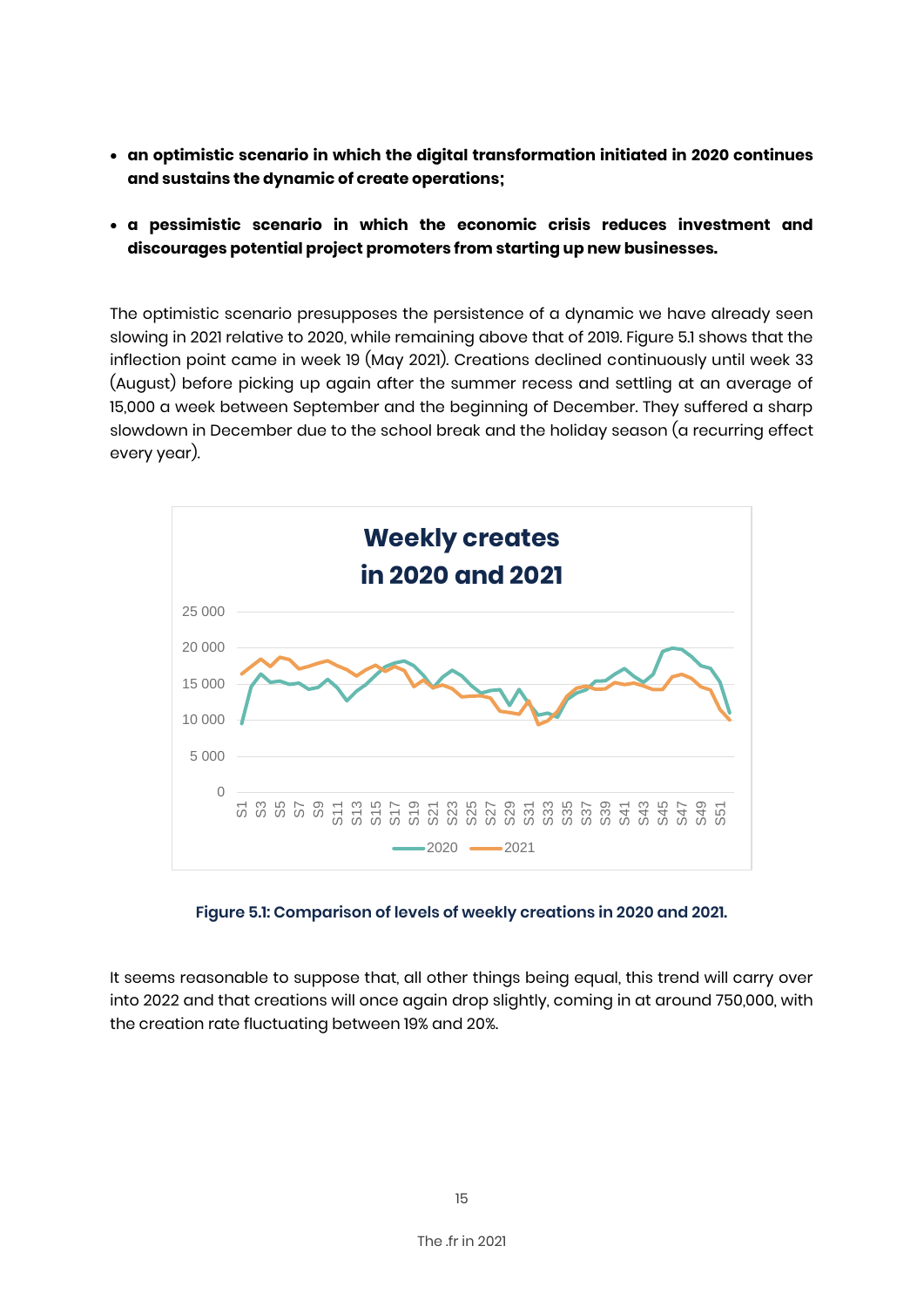- **an optimistic scenario in which the digital transformation initiated in 2020 continues and sustains the dynamic of create operations;**
- **a pessimistic scenario in which the economic crisis reduces investment and discourages potential project promoters from starting up new businesses.**

The optimistic scenario presupposes the persistence of a dynamic we have already seen slowing in 2021 relative to 2020, while remaining above that of 2019. Figure 5.1 shows that the inflection point came in week 19 (May 2021). Creations declined continuously until week 33 (August) before picking up again after the summer recess and settling at an average of 15,000 a week between September and the beginning of December. They suffered a sharp slowdown in December due to the school break and the holiday season (a recurring effect every year).



**Figure 5.1: Comparison of levels of weekly creations in 2020 and 2021.**

It seems reasonable to suppose that, all other things being equal, this trend will carry over into 2022 and that creations will once again drop slightly, coming in at around 750,000, with the creation rate fluctuating between 19% and 20%.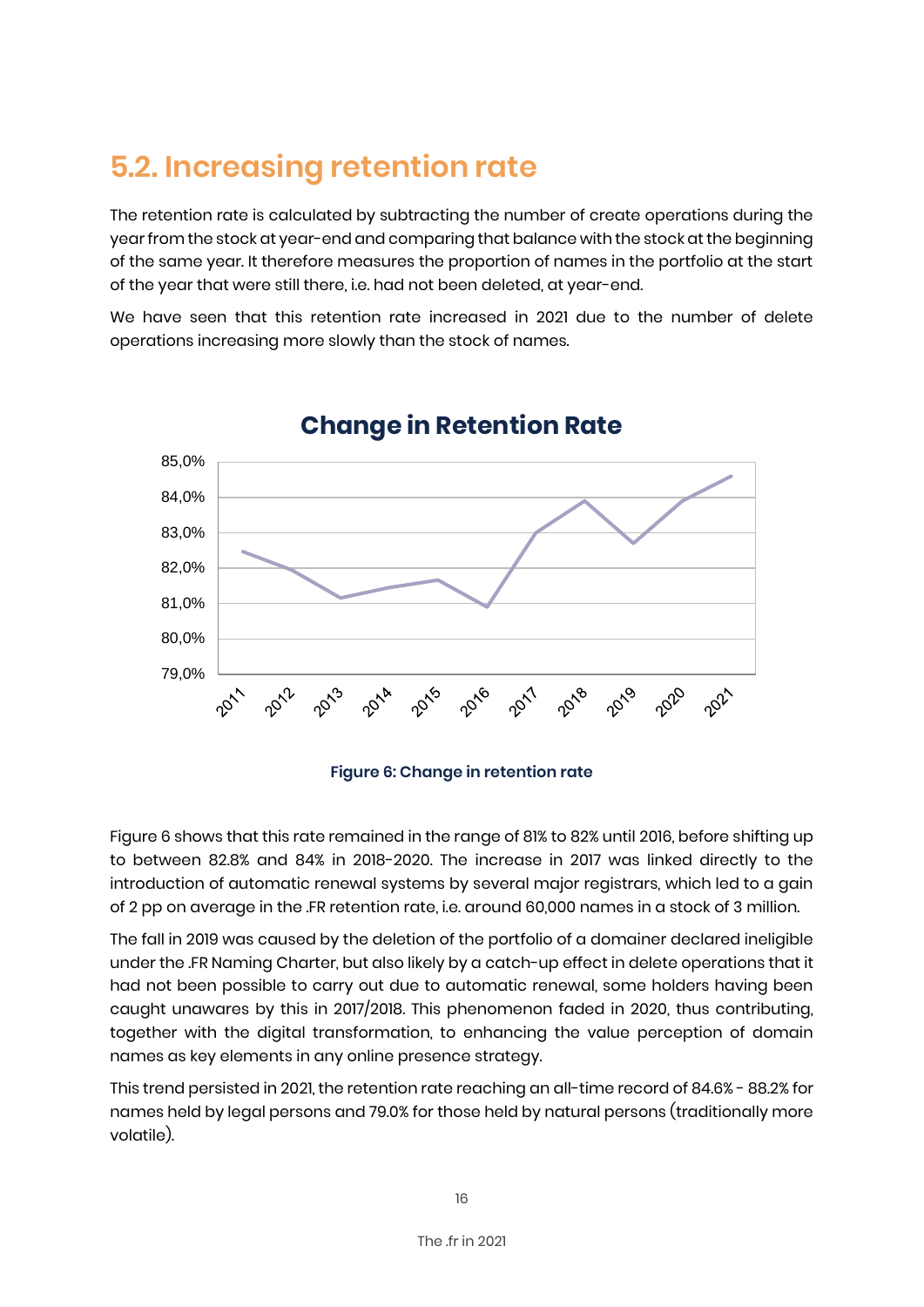### **5.2. Increasing retention rate**

The retention rate is calculated by subtracting the number of create operations during the year from the stock at year-end and comparing that balance with the stock at the beginning of the same year. It therefore measures the proportion of names in the portfolio at the start of the year that were still there, i.e. had not been deleted, at year-end.

We have seen that this retention rate increased in 2021 due to the number of delete operations increasing more slowly than the stock of names.



### **Change in Retention Rate**

**Figure 6: Change in retention rate**

Figure 6 shows that this rate remained in the range of 81% to 82% until 2016, before shifting up to between 82.8% and 84% in 2018-2020. The increase in 2017 was linked directly to the introduction of automatic renewal systems by several major registrars, which led to a gain of 2 pp on average in the .FR retention rate, i.e. around 60,000 names in a stock of 3 million.

The fall in 2019 was caused by the deletion of the portfolio of a domainer declared ineligible under the .FR Naming Charter, but also likely by a catch-up effect in delete operations that it had not been possible to carry out due to automatic renewal, some holders having been caught unawares by this in 2017/2018. This phenomenon faded in 2020, thus contributing, together with the digital transformation, to enhancing the value perception of domain names as key elements in any online presence strategy.

This trend persisted in 2021, the retention rate reaching an all-time record of 84.6% - 88.2% for names held by legal persons and 79.0% for those held by natural persons (traditionally more volatile).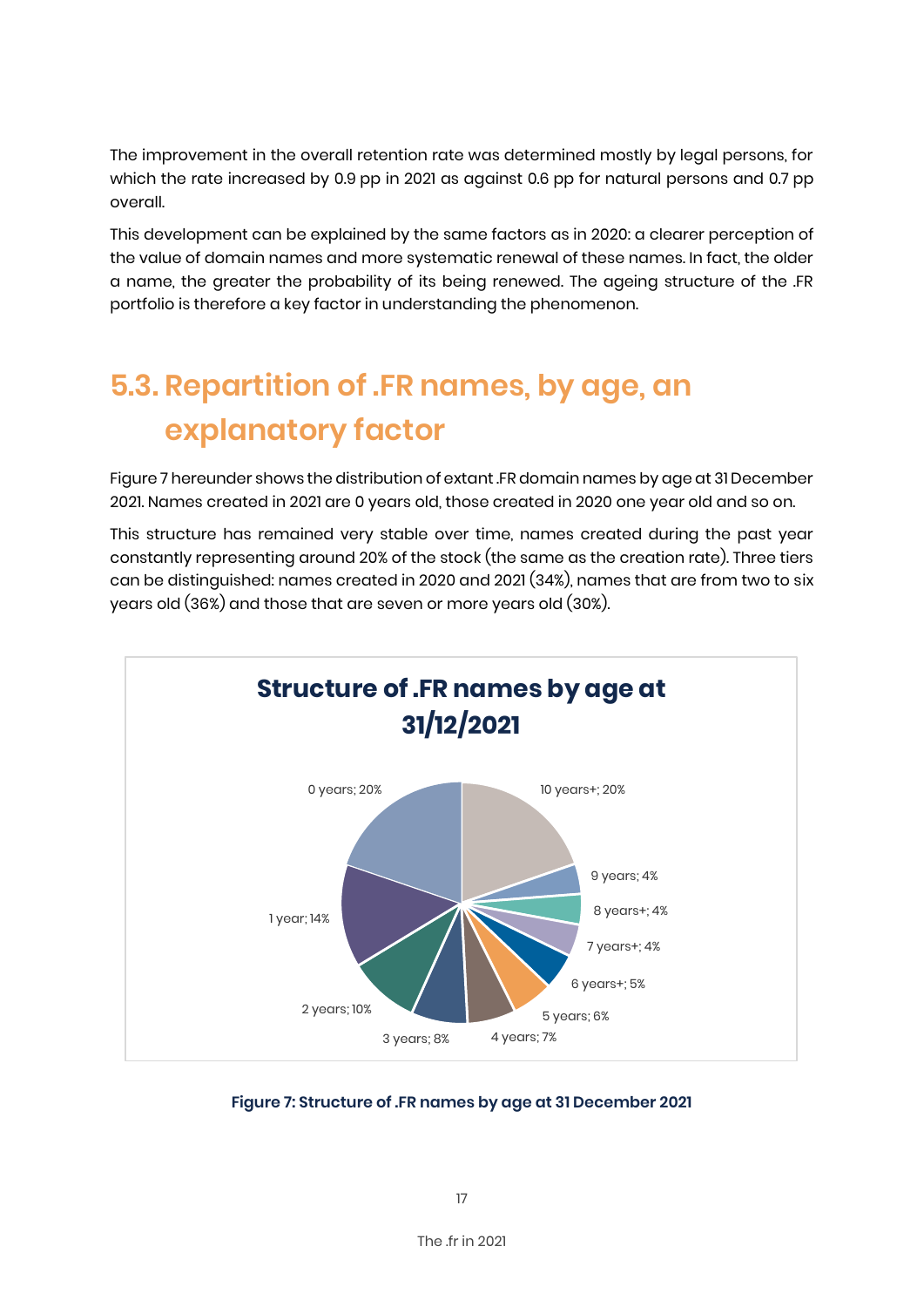The improvement in the overall retention rate was determined mostly by legal persons, for which the rate increased by 0.9 pp in 2021 as against 0.6 pp for natural persons and 0.7 pp overall.

This development can be explained by the same factors as in 2020: a clearer perception of the value of domain names and more systematic renewal of these names. In fact, the older a name, the greater the probability of its being renewed. The ageing structure of the .FR portfolio is therefore a key factor in understanding the phenomenon.

# **5.3. Repartition of .FR names, by age, an explanatory factor**

Figure 7 hereunder shows the distribution of extant .FR domain names by age at 31 December 2021. Names created in 2021 are 0 years old, those created in 2020 one year old and so on.

This structure has remained very stable over time, names created during the past year constantly representing around 20% of the stock (the same as the creation rate). Three tiers can be distinguished: names created in 2020 and 2021 (34%), names that are from two to six years old (36%) and those that are seven or more years old (30%).



**Figure 7: Structure of .FR names by age at 31 December 2021**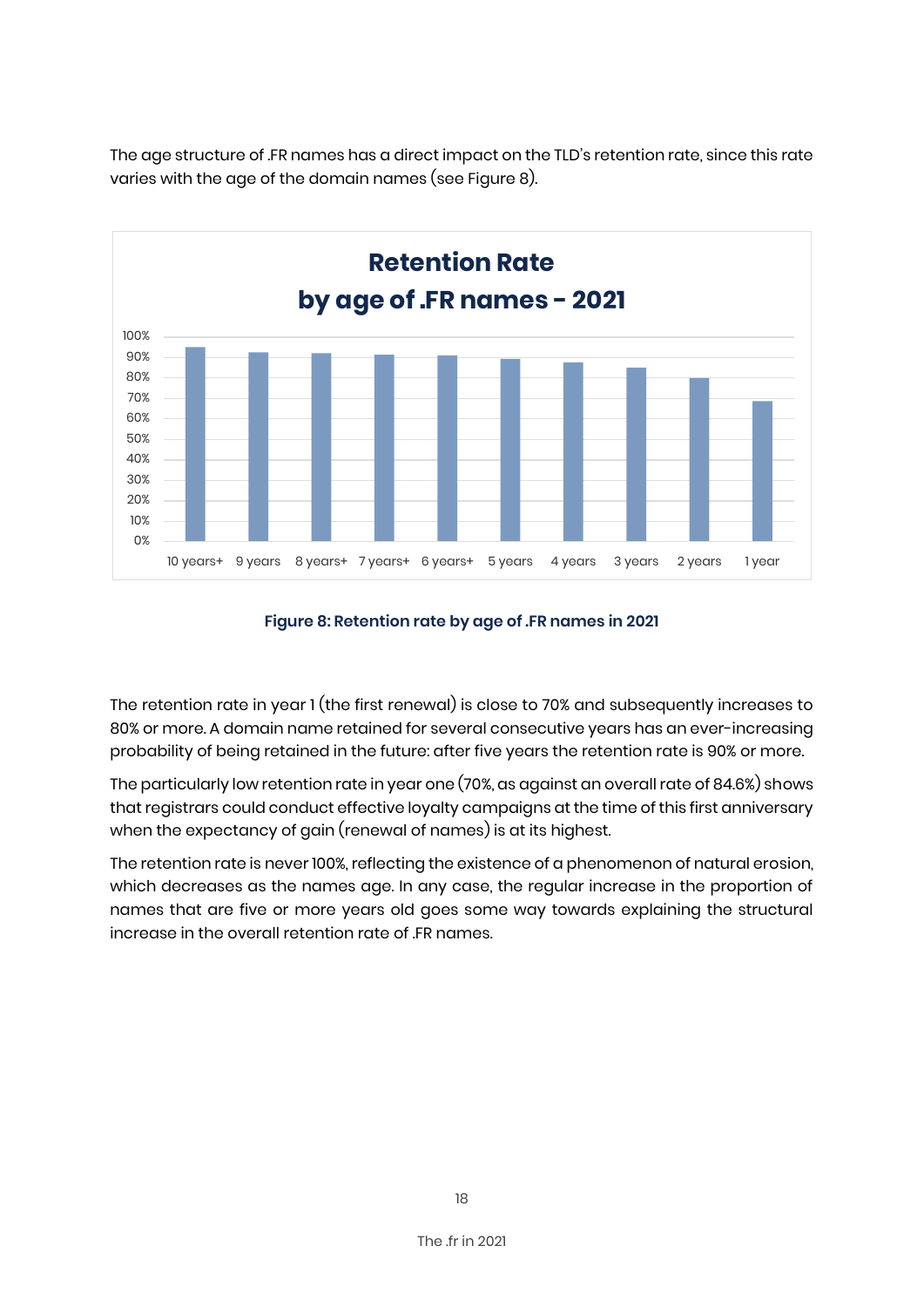The age structure of .FR names has a direct impact on the TLD's retention rate, since this rate varies with the age of the domain names (see Figure 8).



#### **Figure 8: Retention rate by age of .FR names in 2021**

The retention rate in year 1 (the first renewal) is close to 70% and subsequently increases to 80% or more. A domain name retained for several consecutive years has an ever-increasing probability of being retained in the future: after five years the retention rate is 90% or more.

The particularly low retention rate in year one (70%, as against an overall rate of 84.6%) shows that registrars could conduct effective loyalty campaigns at the time of this first anniversary when the expectancy of gain (renewal of names) is at its highest.

The retention rate is never 100%, reflecting the existence of a phenomenon of natural erosion, which decreases as the names age. In any case, the regular increase in the proportion of names that are five or more years old goes some way towards explaining the structural increase in the overall retention rate of .FR names.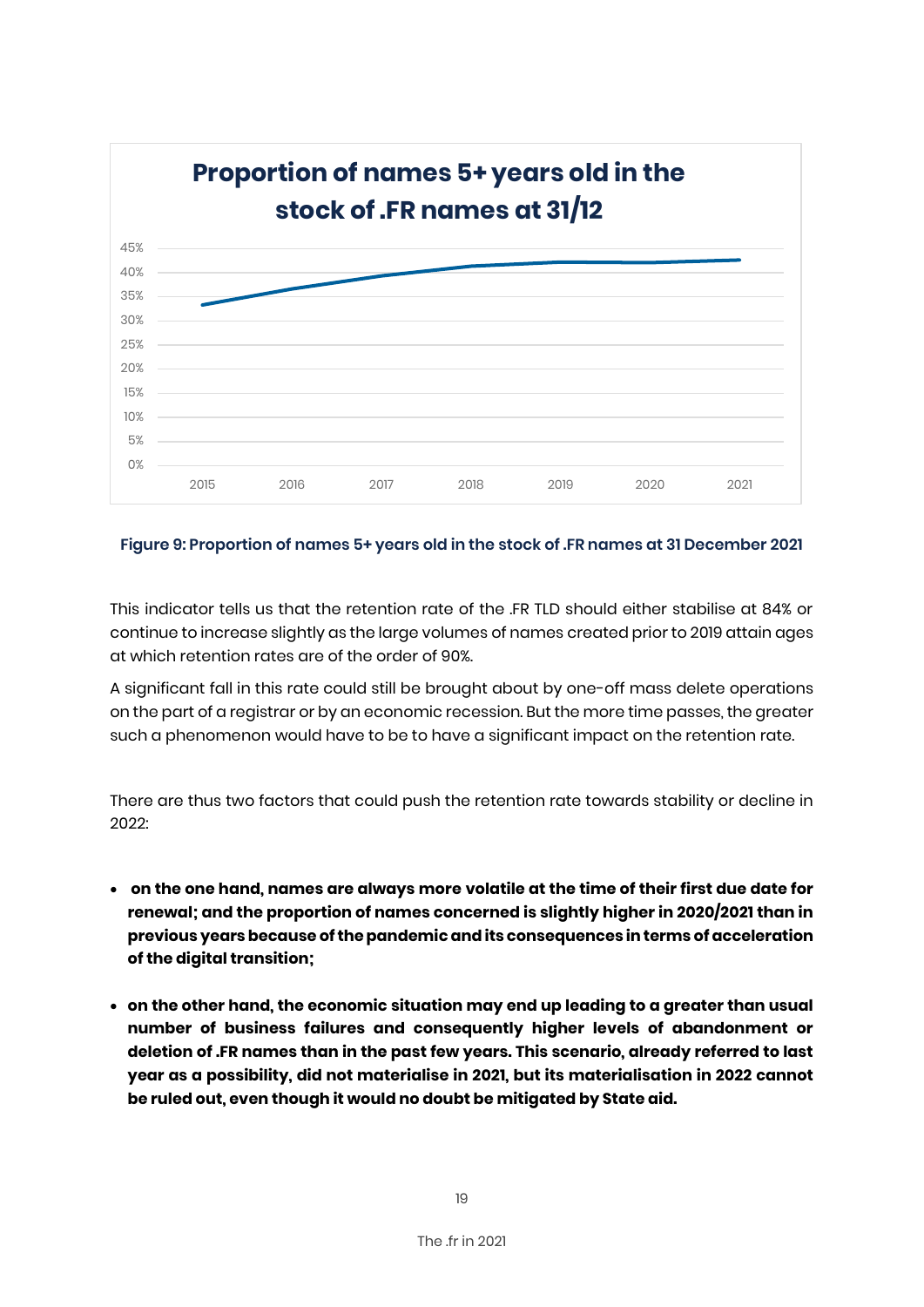

#### **Figure 9: Proportion of names 5+ years old in the stock of .FR names at 31 December 2021**

This indicator tells us that the retention rate of the .FR TLD should either stabilise at 84% or continue to increase slightly as the large volumes of names created prior to 2019 attain ages at which retention rates are of the order of 90%.

A significant fall in this rate could still be brought about by one-off mass delete operations on the part of a registrar or by an economic recession. But the more time passes, the greater such a phenomenon would have to be to have a significant impact on the retention rate.

There are thus two factors that could push the retention rate towards stability or decline in 2022:

- **on the one hand, names are always more volatile at the time of their first due date for renewal; and the proportion of names concerned is slightly higher in 2020/2021 than in previous years because of the pandemic and its consequences in terms of acceleration of the digital transition;**
- **on the other hand, the economic situation may end up leading to a greater than usual number of business failures and consequently higher levels of abandonment or deletion of .FR names than in the past few years. This scenario, already referred to last year as a possibility, did not materialise in 2021, but its materialisation in 2022 cannot be ruled out, even though it would no doubt be mitigated by State aid.**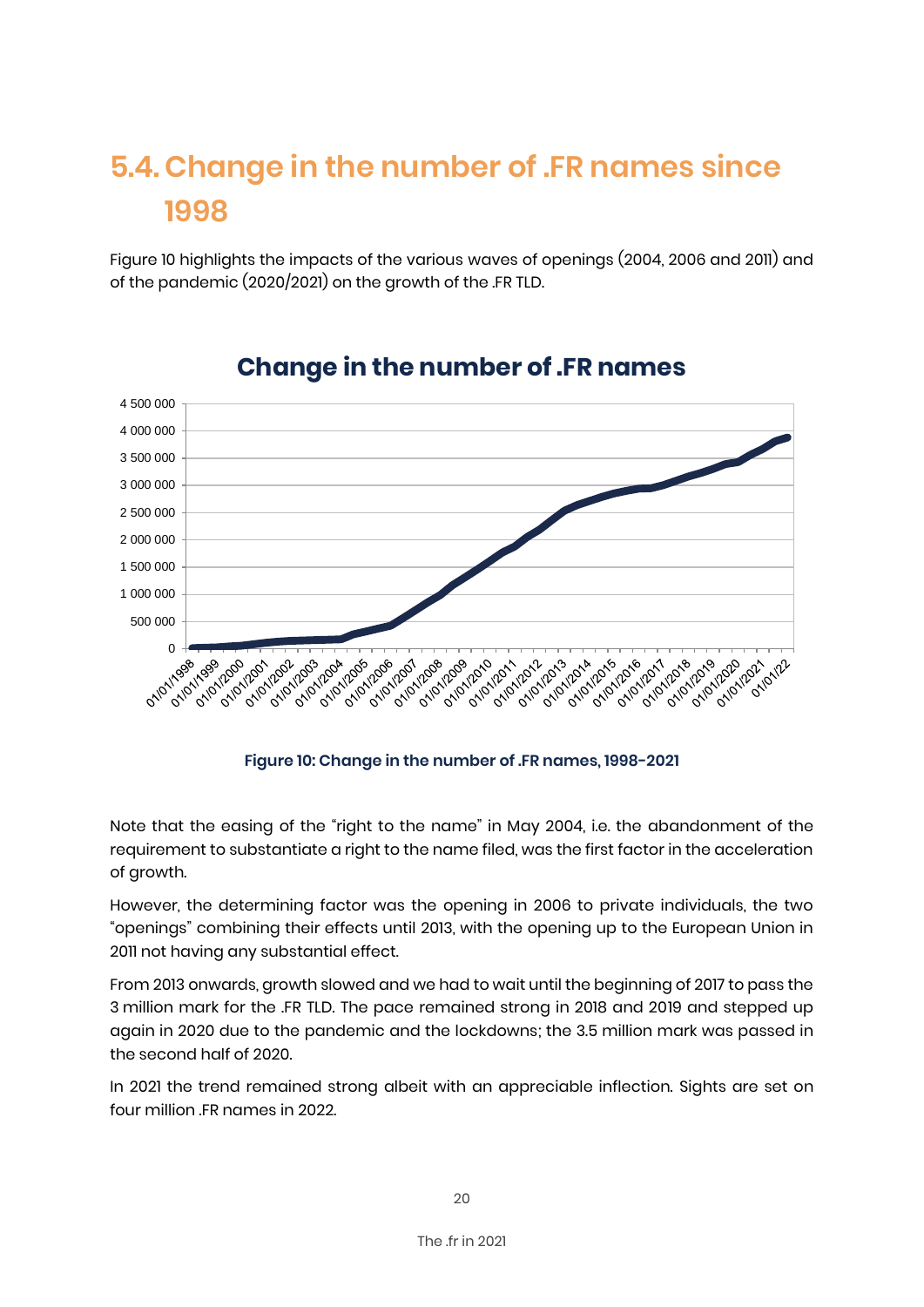# **5.4. Change in the number of .FR names since 1998**

Figure 10 highlights the impacts of the various waves of openings (2004, 2006 and 2011) and of the pandemic (2020/2021) on the growth of the .FR TLD.



### **Change in the number of .FR names**

**Figure 10: Change in the number of .FR names, 1998-2021**

Note that the easing of the "right to the name" in May 2004, i.e. the abandonment of the requirement to substantiate a right to the name filed, was the first factor in the acceleration of growth.

However, the determining factor was the opening in 2006 to private individuals, the two "openings" combining their effects until 2013, with the opening up to the European Union in 2011 not having any substantial effect.

From 2013 onwards, growth slowed and we had to wait until the beginning of 2017 to pass the 3 million mark for the .FR TLD. The pace remained strong in 2018 and 2019 and stepped up again in 2020 due to the pandemic and the lockdowns; the 3.5 million mark was passed in the second half of 2020.

In 2021 the trend remained strong albeit with an appreciable inflection. Sights are set on four million .FR names in 2022.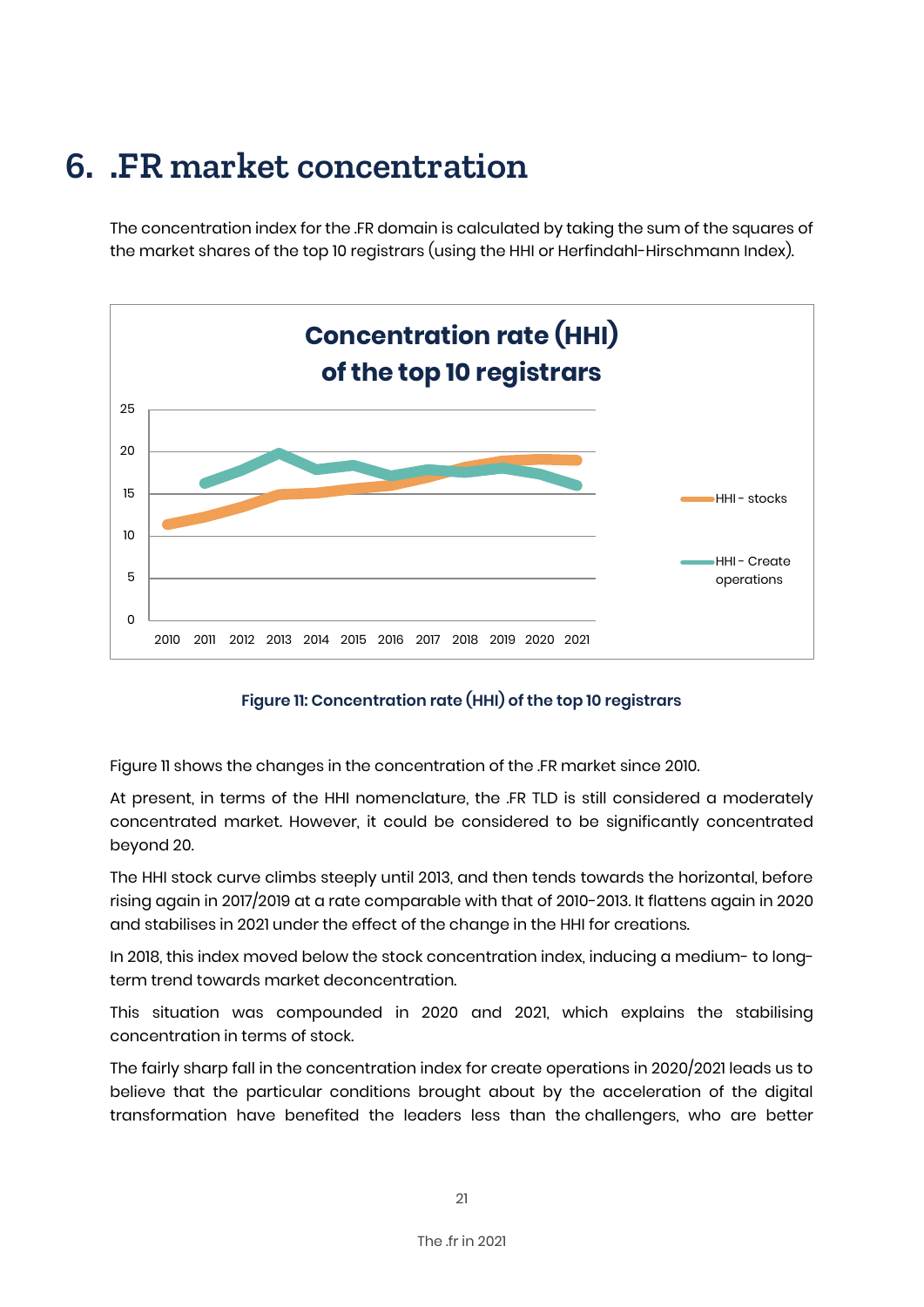# **6. .FR market concentration**

The concentration index for the .FR domain is calculated by taking the sum of the squares of the market shares of the top 10 registrars (using the HHI or Herfindahl-Hirschmann Index).



#### **Figure 11: Concentration rate (HHI) of the top 10 registrars**

Figure 11 shows the changes in the concentration of the .FR market since 2010.

At present, in terms of the HHI nomenclature, the .FR TLD is still considered a moderately concentrated market. However, it could be considered to be significantly concentrated beyond 20.

The HHI stock curve climbs steeply until 2013, and then tends towards the horizontal, before rising again in 2017/2019 at a rate comparable with that of 2010-2013. It flattens again in 2020 and stabilises in 2021 under the effect of the change in the HHI for creations.

In 2018, this index moved below the stock concentration index, inducing a medium- to longterm trend towards market deconcentration.

This situation was compounded in 2020 and 2021, which explains the stabilising concentration in terms of stock.

The fairly sharp fall in the concentration index for create operations in 2020/2021 leads us to believe that the particular conditions brought about by the acceleration of the digital transformation have benefited the leaders less than the challengers, who are better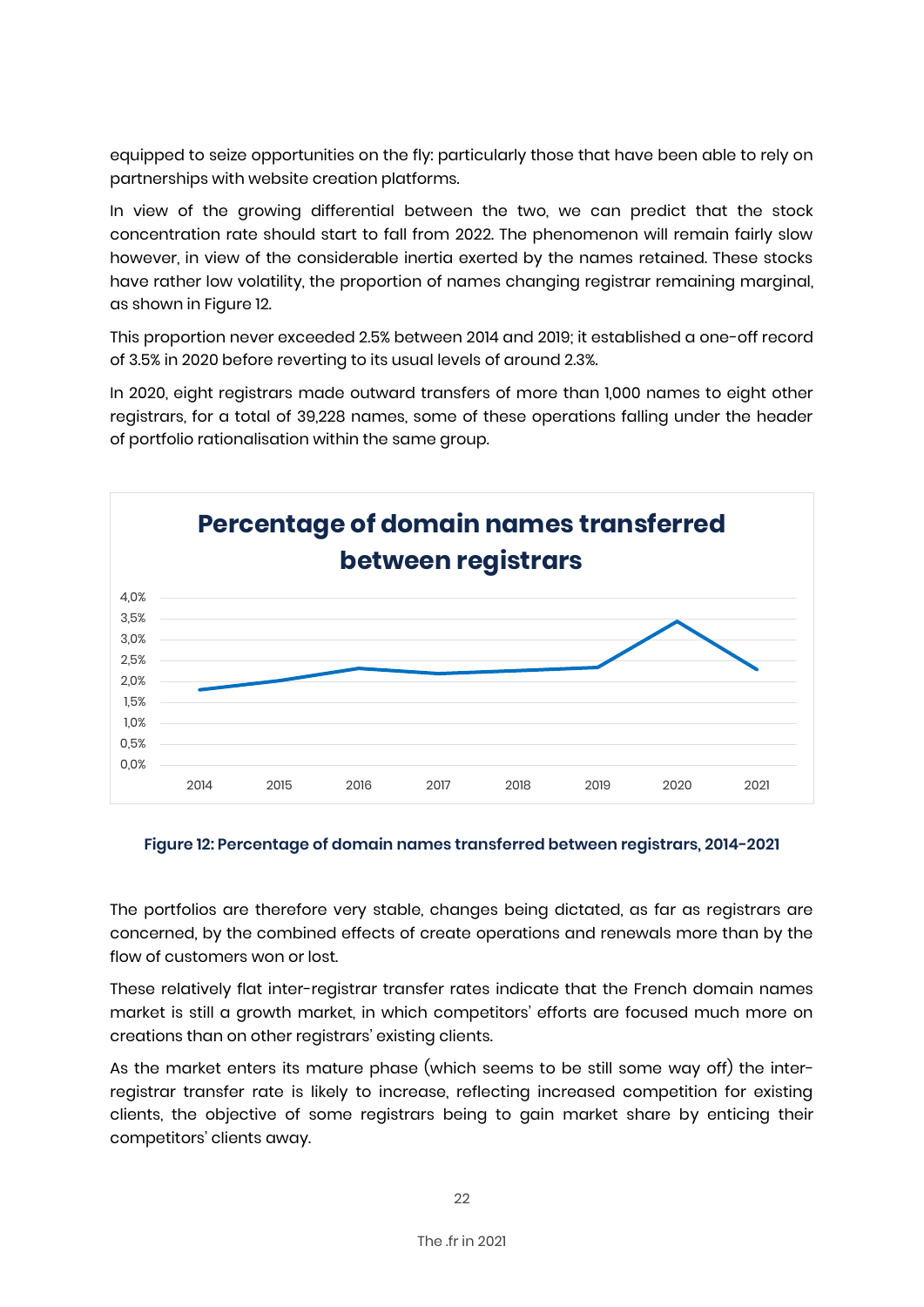equipped to seize opportunities on the fly: particularly those that have been able to rely on partnerships with website creation platforms.

In view of the growing differential between the two, we can predict that the stock concentration rate should start to fall from 2022. The phenomenon will remain fairly slow however, in view of the considerable inertia exerted by the names retained. These stocks have rather low volatility, the proportion of names changing registrar remaining marginal. as shown in Figure 12.

This proportion never exceeded 2.5% between 2014 and 2019; it established a one-off record of 3.5% in 2020 before reverting to its usual levels of around 2.3%.

In 2020, eight registrars made outward transfers of more than 1,000 names to eight other registrars, for a total of 39,228 names, some of these operations falling under the header of portfolio rationalisation within the same group.



#### **Figure 12: Percentage of domain names transferred between registrars, 2014-2021**

The portfolios are therefore very stable, changes being dictated, as far as registrars are concerned, by the combined effects of create operations and renewals more than by the flow of customers won or lost.

These relatively flat inter-registrar transfer rates indicate that the French domain names market is still a growth market, in which competitors' efforts are focused much more on creations than on other registrars' existing clients.

As the market enters its mature phase (which seems to be still some way off) the interregistrar transfer rate is likely to increase, reflecting increased competition for existing clients, the objective of some registrars being to gain market share by enticing their competitors' clients away.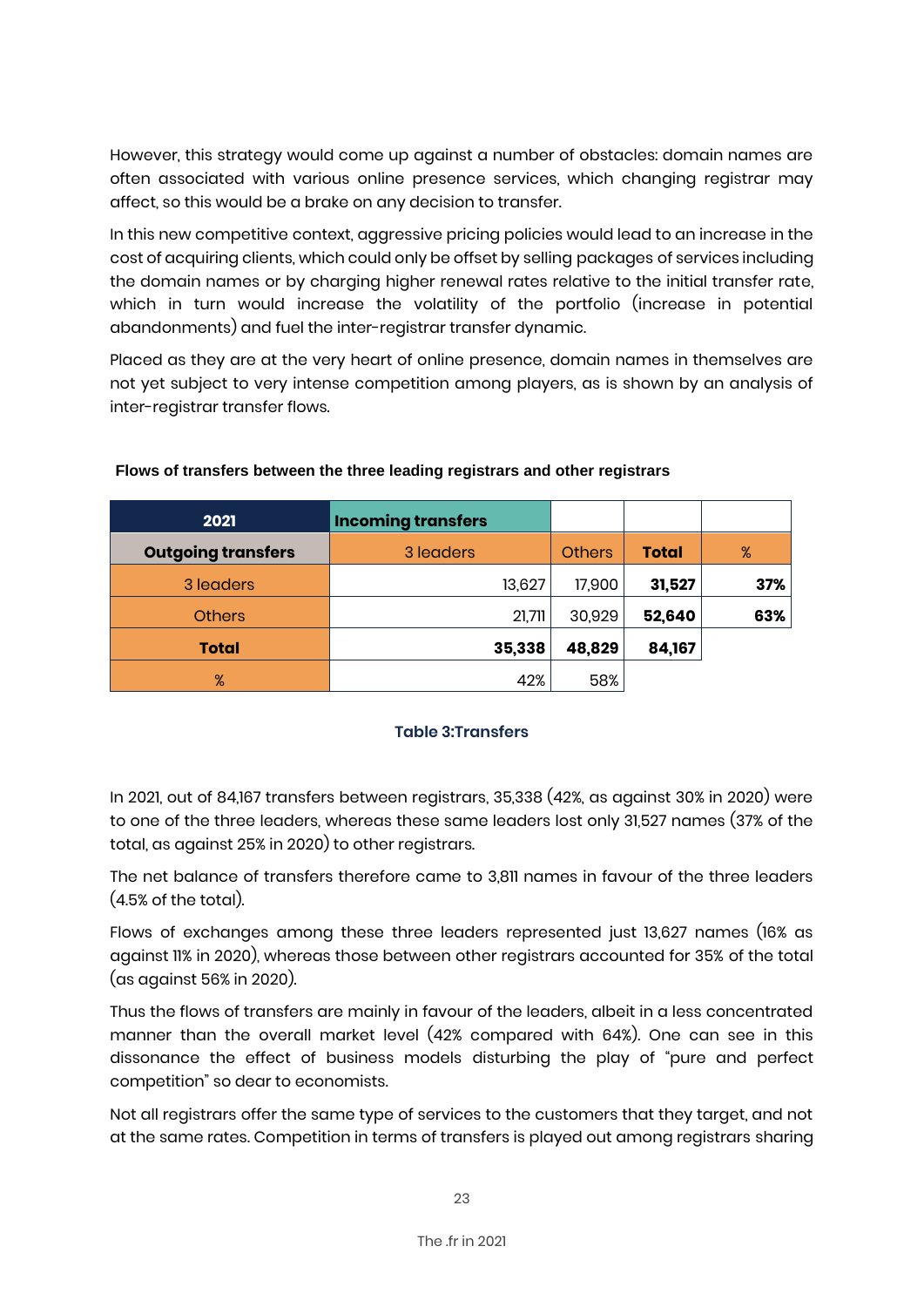However, this strategy would come up against a number of obstacles: domain names are often associated with various online presence services, which changing registrar may affect, so this would be a brake on any decision to transfer.

In this new competitive context, aggressive pricing policies would lead to an increase in the cost of acquiring clients, which could only be offset by selling packages of services including the domain names or by charaina higher renewal rates relative to the initial transfer rate. which in turn would increase the volatility of the portfolio (increase in potential abandonments) and fuel the inter-registrar transfer dynamic.

Placed as they are at the very heart of online presence, domain names in themselves are not yet subject to very intense competition among players, as is shown by an analysis of inter-registrar transfer flows.

| 2021                      | <b>Incoming transfers</b> |               |              |     |
|---------------------------|---------------------------|---------------|--------------|-----|
| <b>Outgoing transfers</b> | 3 leaders                 | <b>Others</b> | <b>Total</b> | %   |
| 3 leaders                 | 13,627                    | 17,900        | 31,527       | 37% |
| <b>Others</b>             | 21,711                    | 30,929        | 52,640       | 63% |
| <b>Total</b>              | 35,338                    | 48,829        | 84,167       |     |
| %                         | 42%                       | 58%           |              |     |

#### **Flows of transfers between the three leading registrars and other registrars**

#### **Table 3:Transfers**

In 2021, out of 84,167 transfers between registrars, 35,338 (42%, as against 30% in 2020) were to one of the three leaders, whereas these same leaders lost only 31,527 names (37% of the total, as against 25% in 2020) to other registrars.

The net balance of transfers therefore came to 3,811 names in favour of the three leaders (4.5% of the total).

Flows of exchanges among these three leaders represented just 13,627 names (16% as against 11% in 2020), whereas those between other registrars accounted for 35% of the total (as against 56% in 2020).

Thus the flows of transfers are mainly in favour of the leaders, albeit in a less concentrated manner than the overall market level (42% compared with 64%). One can see in this dissonance the effect of business models disturbing the play of "pure and perfect competition" so dear to economists.

Not all registrars offer the same type of services to the customers that they target, and not at the same rates. Competition in terms of transfers is played out among registrars sharing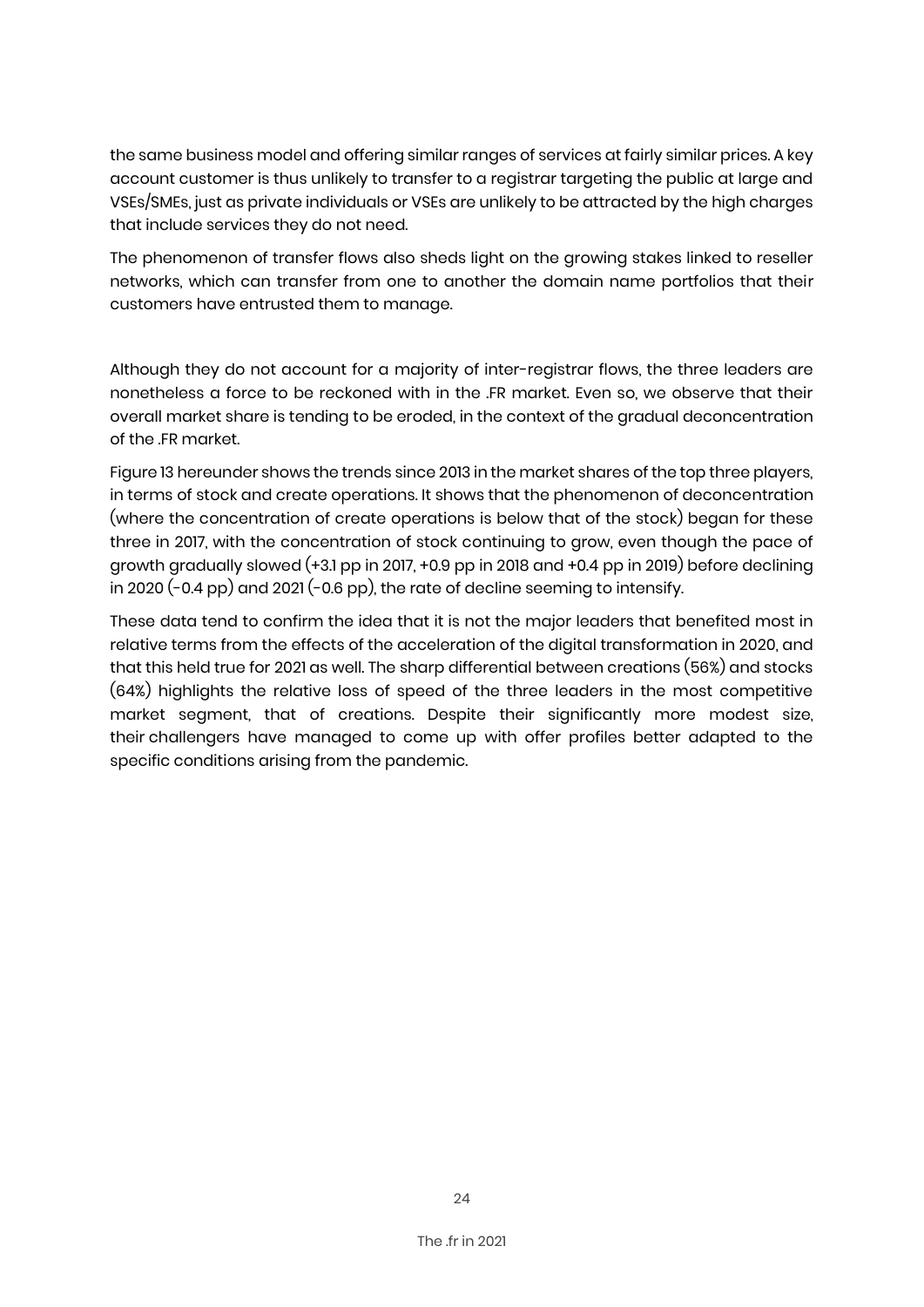the same business model and offering similar ranges of services at fairly similar prices. A key account customer is thus unlikely to transfer to a registrar targeting the public at large and VSEs/SMEs, just as private individuals or VSEs are unlikely to be attracted by the high charges that include services they do not need.

The phenomenon of transfer flows also sheds light on the growing stakes linked to reseller networks, which can transfer from one to another the domain name portfolios that their customers have entrusted them to manage.

Although they do not account for a majority of inter-registrar flows, the three leaders are nonetheless a force to be reckoned with in the .FR market. Even so, we observe that their overall market share is tending to be eroded, in the context of the gradual deconcentration of the .FR market.

Figure 13 hereunder shows the trends since 2013 in the market shares of the top three players, in terms of stock and create operations. It shows that the phenomenon of deconcentration (where the concentration of create operations is below that of the stock) began for these three in 2017, with the concentration of stock continuing to grow, even though the pace of growth gradually slowed (+3.1 pp in 2017, +0.9 pp in 2018 and +0.4 pp in 2019) before declining in 2020 (-0.4 pp) and 2021 (-0.6 pp), the rate of decline seeming to intensify.

These data tend to confirm the idea that it is not the major leaders that benefited most in relative terms from the effects of the acceleration of the digital transformation in 2020, and that this held true for 2021 as well. The sharp differential between creations (56%) and stocks (64%) highlights the relative loss of speed of the three leaders in the most competitive market segment, that of creations. Despite their significantly more modest size, their challengers have managed to come up with offer profiles better adapted to the specific conditions arising from the pandemic.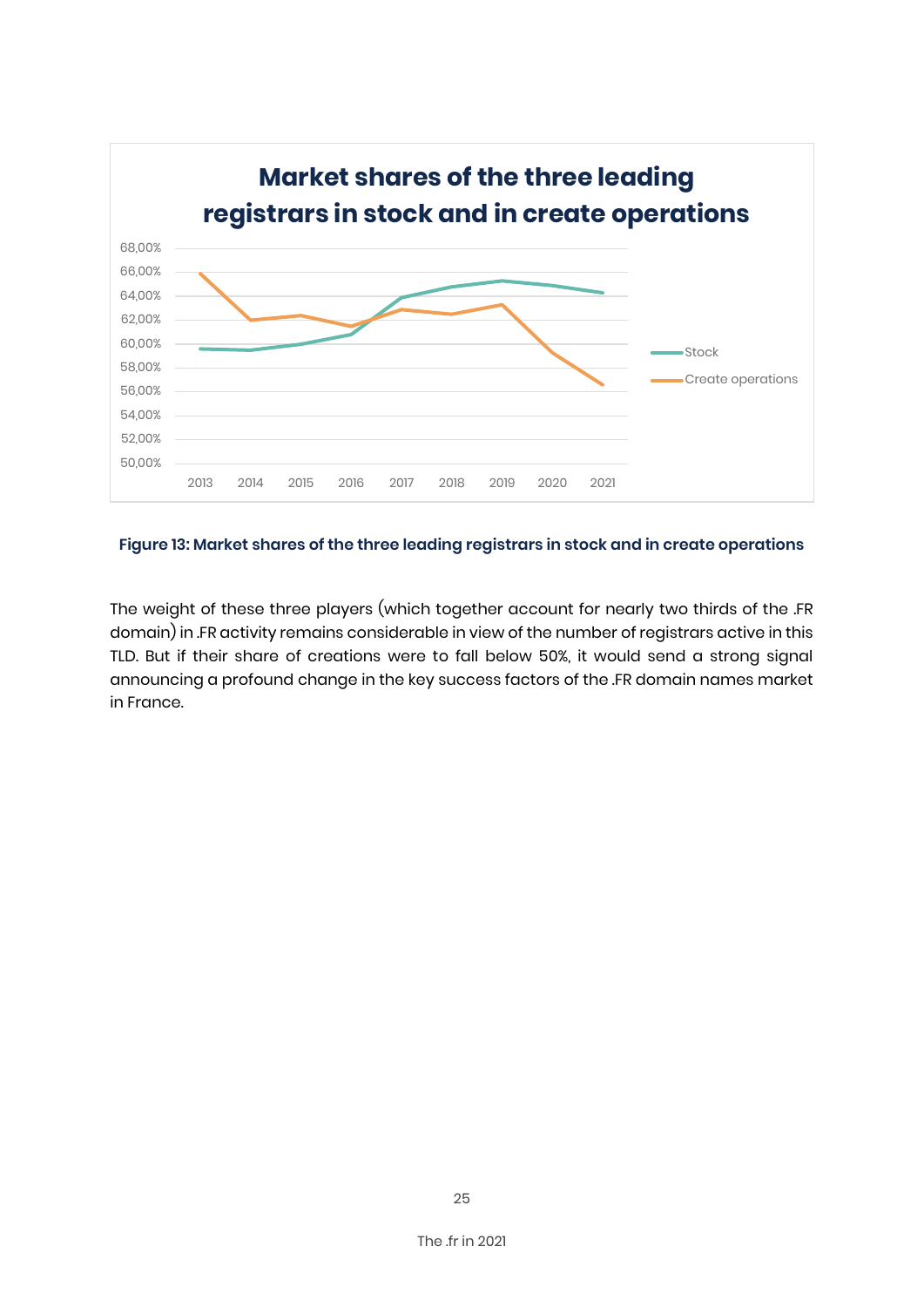

#### **Figure 13: Market shares of the three leading registrars in stock and in create operations**

The weight of these three players (which together account for nearly two thirds of the .FR domain) in .FR activity remains considerable in view of the number of registrars active in this TLD. But if their share of creations were to fall below 50%, it would send a strong signal announcing a profound change in the key success factors of the .FR domain names market in France.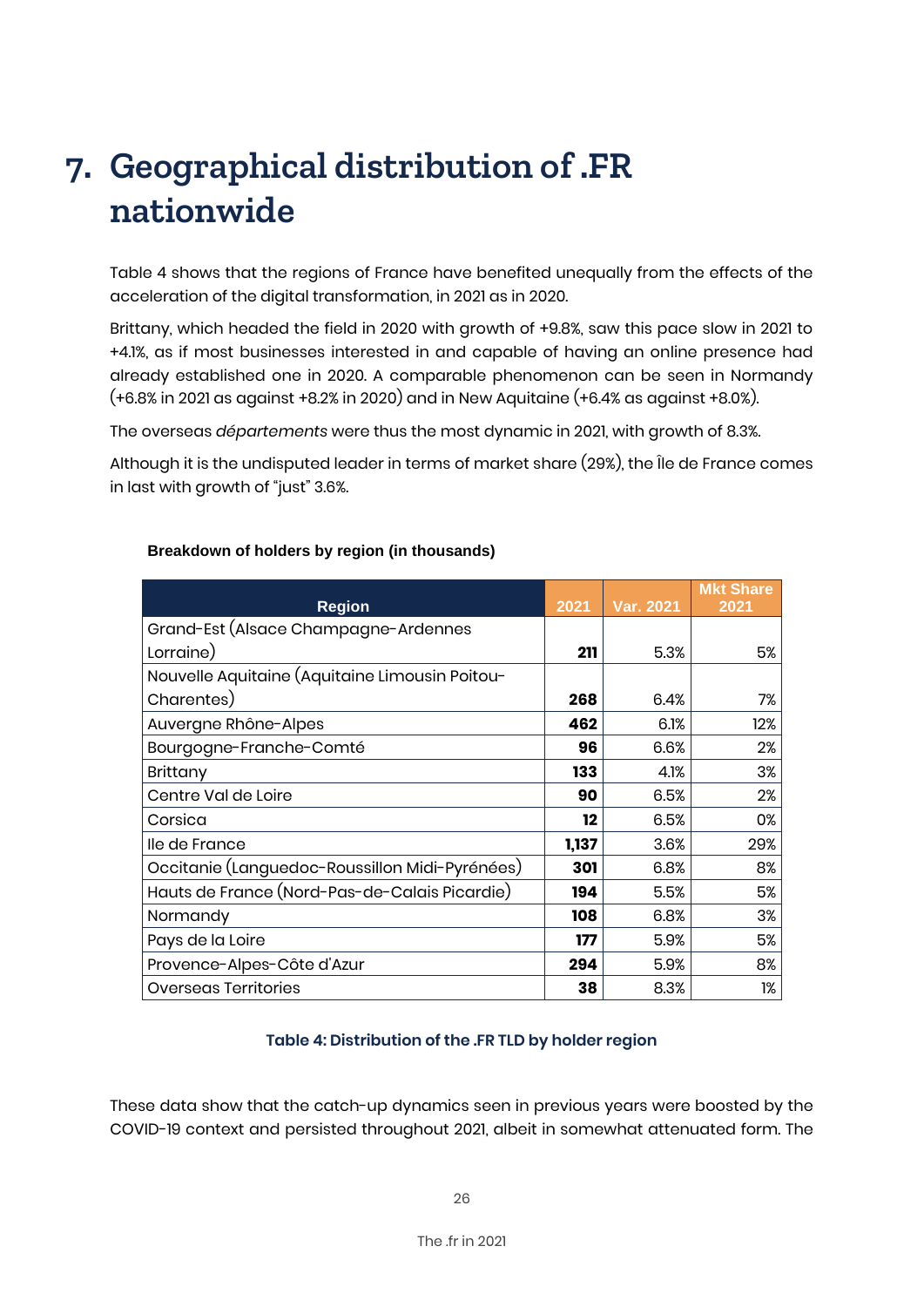# **7. Geographical distribution of .FR nationwide**

Table 4 shows that the regions of France have benefited unequally from the effects of the acceleration of the digital transformation, in 2021 as in 2020.

Brittany, which headed the field in 2020 with growth of +9.8%, saw this pace slow in 2021 to +4.1%, as if most businesses interested in and capable of having an online presence had already established one in 2020. A comparable phenomenon can be seen in Normandy (+6.8% in 2021 as against +8.2% in 2020) and in New Aquitaine (+6.4% as against +8.0%).

The overseas *départements* were thus the most dynamic in 2021, with growth of 8.3%.

Although it is the undisputed leader in terms of market share (29%), the Île de France comes in last with growth of "just" 3.6%.

|                                                |       |                  | <b>Mkt Share</b> |
|------------------------------------------------|-------|------------------|------------------|
| <b>Region</b>                                  | 2021  | <b>Var. 2021</b> | 2021             |
| Grand-Est (Alsace Champagne-Ardennes           |       |                  |                  |
| Lorraine)                                      | 211   | 5.3%             | 5%               |
| Nouvelle Aquitaine (Aquitaine Limousin Poitou- |       |                  |                  |
| Charentes)                                     | 268   | 6.4%             | 7%               |
| Auvergne Rhône-Alpes                           | 462   | 6.1%             | 12%              |
| Bourgogne-Franche-Comté                        | 96    | 6.6%             | 2%               |
| Brittany                                       | 133   | 4.1%             | 3%               |
| Centre Val de Loire                            | 90    | 6.5%             | 2%               |
| Corsica                                        | 12    | 6.5%             | 0%               |
| lle de France                                  | 1,137 | 3.6%             | 29%              |
| Occitanie (Languedoc-Roussillon Midi-Pyrénées) | 301   | 6.8%             | 8%               |
| Hauts de France (Nord-Pas-de-Calais Picardie)  | 194   | 5.5%             | 5%               |
| Normandy                                       | 108   | 6.8%             | 3%               |
| Pays de la Loire                               | 177   | 5.9%             | 5%               |
| Provence-Alpes-Côte d'Azur                     | 294   | 5.9%             | 8%               |
| <b>Overseas Territories</b>                    | 38    | 8.3%             | 1%               |

#### **Breakdown of holders by region (in thousands)**

#### **Table 4: Distribution of the .FR TLD by holder region**

These data show that the catch-up dynamics seen in previous years were boosted by the COVID-19 context and persisted throughout 2021, albeit in somewhat attenuated form. The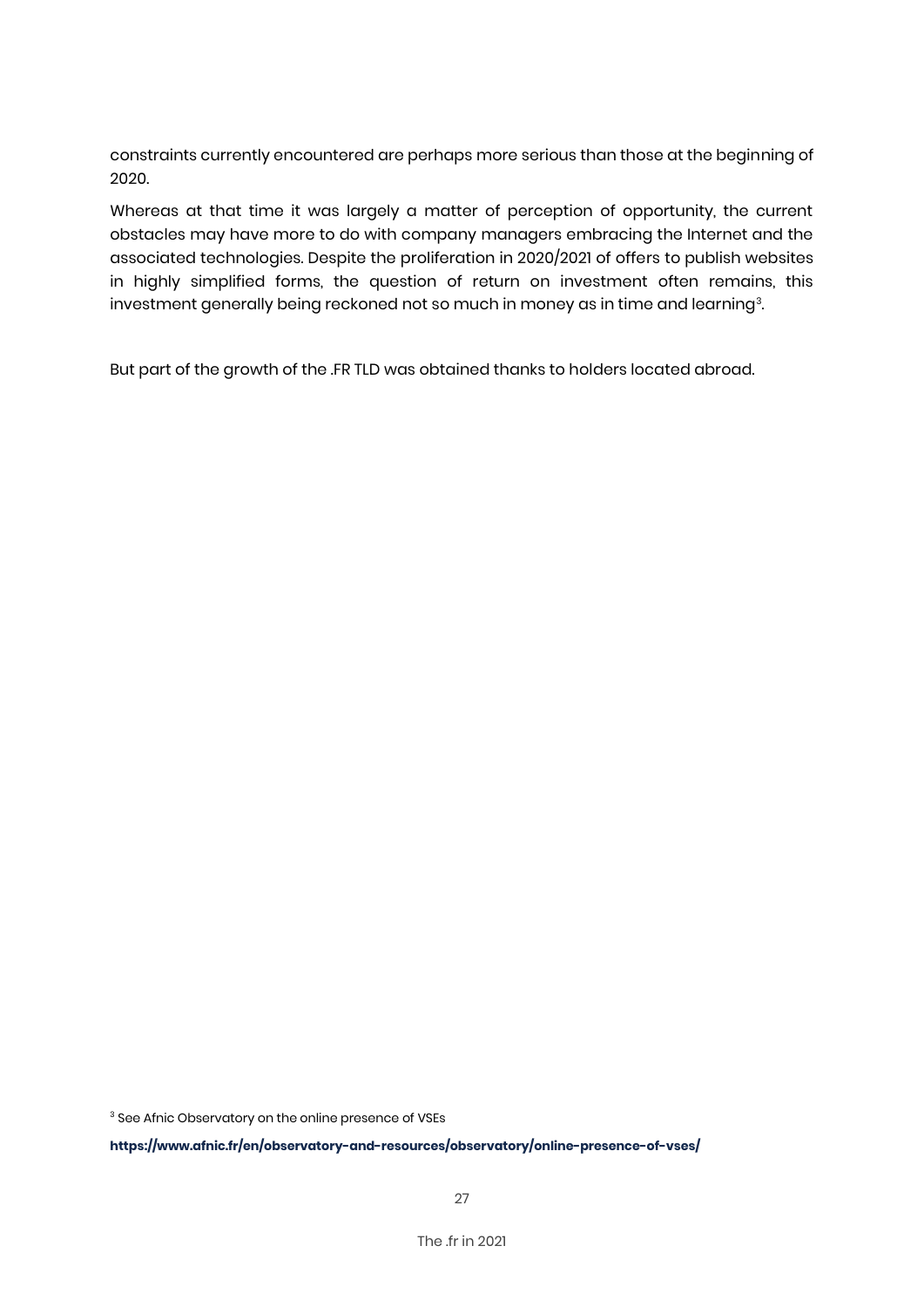constraints currently encountered are perhaps more serious than those at the beginning of 2020.

Whereas at that time it was largely a matter of perception of opportunity, the current obstacles may have more to do with company managers embracing the Internet and the associated technologies. Despite the proliferation in 2020/2021 of offers to publish websites in highly simplified forms, the question of return on investment often remains, this investment generally being reckoned not so much in money as in time and learning<sup>3</sup>. .

But part of the growth of the .FR TLD was obtained thanks to holders located abroad.

<sup>3</sup> See Afnic Observatory on the online presence of VSEs

**<https://www.afnic.fr/en/observatory-and-resources/observatory/online-presence-of-vses/>**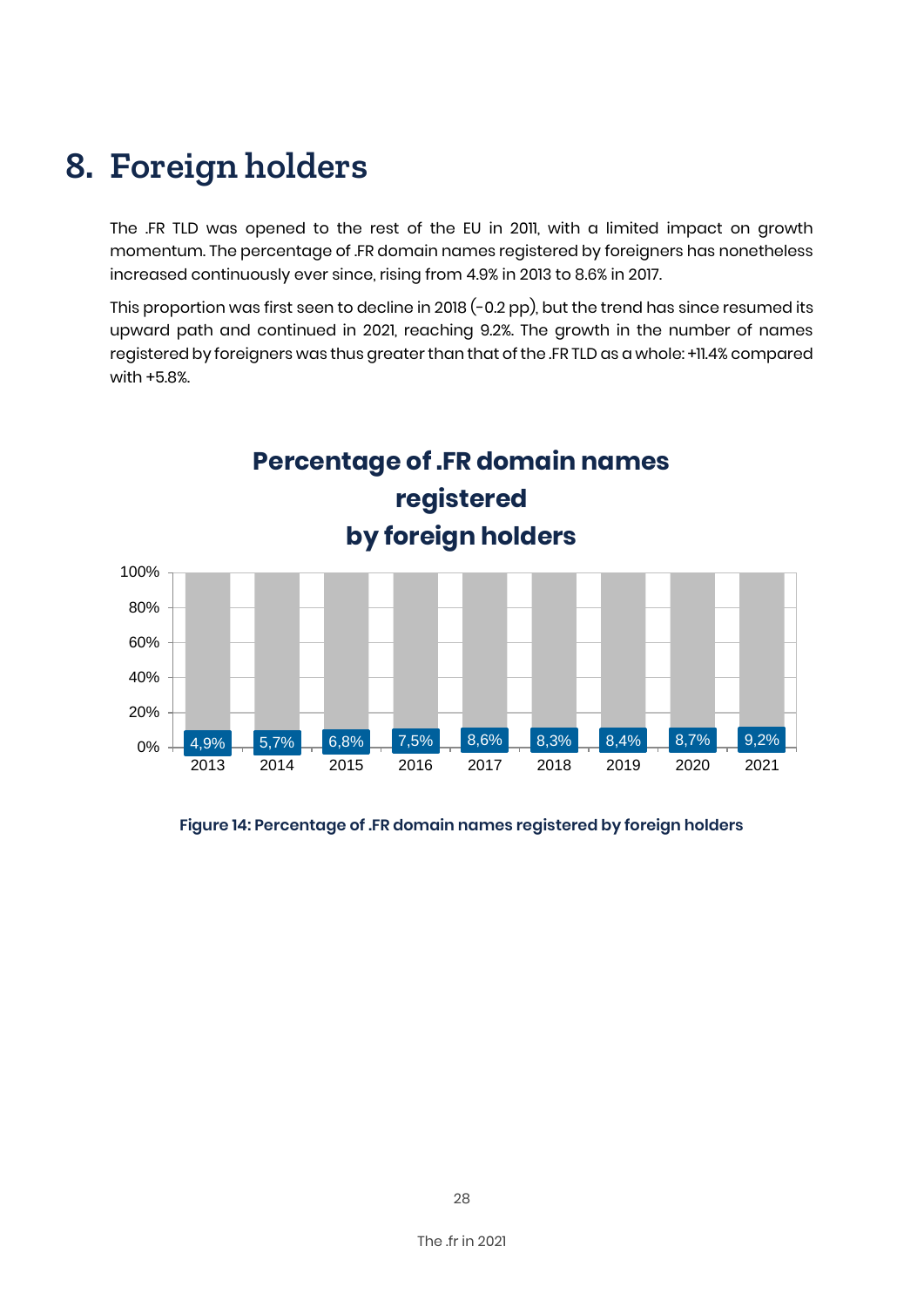### **8. Foreign holders**

The .FR TLD was opened to the rest of the EU in 2011, with a limited impact on growth momentum. The percentage of .FR domain names registered by foreigners has nonetheless increased continuously ever since, rising from 4.9% in 2013 to 8.6% in 2017.

This proportion was first seen to decline in 2018 (-0.2 pp), but the trend has since resumed its upward path and continued in 2021, reaching 9.2%. The growth in the number of names registered by foreigners was thus greater than that of the .FR TLD as a whole: +11.4% compared with +5.8%.



#### **Figure 14: Percentage of .FR domain names registered by foreign holders**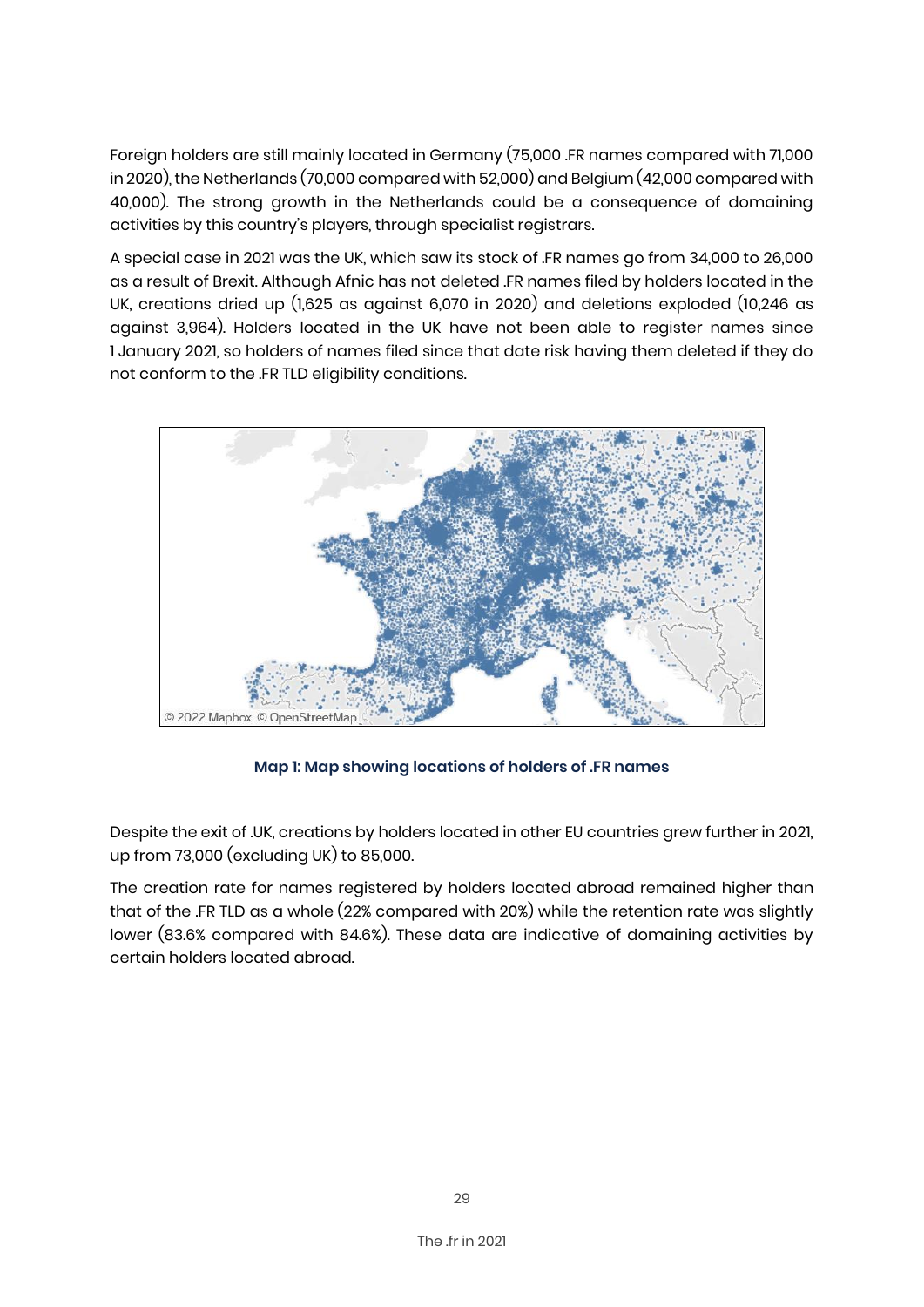Foreign holders are still mainly located in Germany (75,000 .FR names compared with 71,000 in 2020), the Netherlands (70,000 compared with 52,000) and Belgium (42,000 compared with 40,000). The strong growth in the Netherlands could be a consequence of domaining activities by this country's players, through specialist registrars.

A special case in 2021 was the UK, which saw its stock of .FR names go from 34,000 to 26,000 as a result of Brexit. Although Afnic has not deleted .FR names filed by holders located in the UK, creations dried up (1,625 as against 6,070 in 2020) and deletions exploded (10,246 as against 3,964). Holders located in the UK have not been able to register names since 1 January 2021, so holders of names filed since that date risk having them deleted if they do not conform to the .FR TLD eligibility conditions.



#### **Map 1: Map showing locations of holders of .FR names**

Despite the exit of .UK, creations by holders located in other EU countries grew further in 2021, up from 73,000 (excluding UK) to 85,000.

The creation rate for names registered by holders located abroad remained higher than that of the .FR TLD as a whole (22% compared with 20%) while the retention rate was slightly lower (83.6% compared with 84.6%). These data are indicative of domaining activities by certain holders located abroad.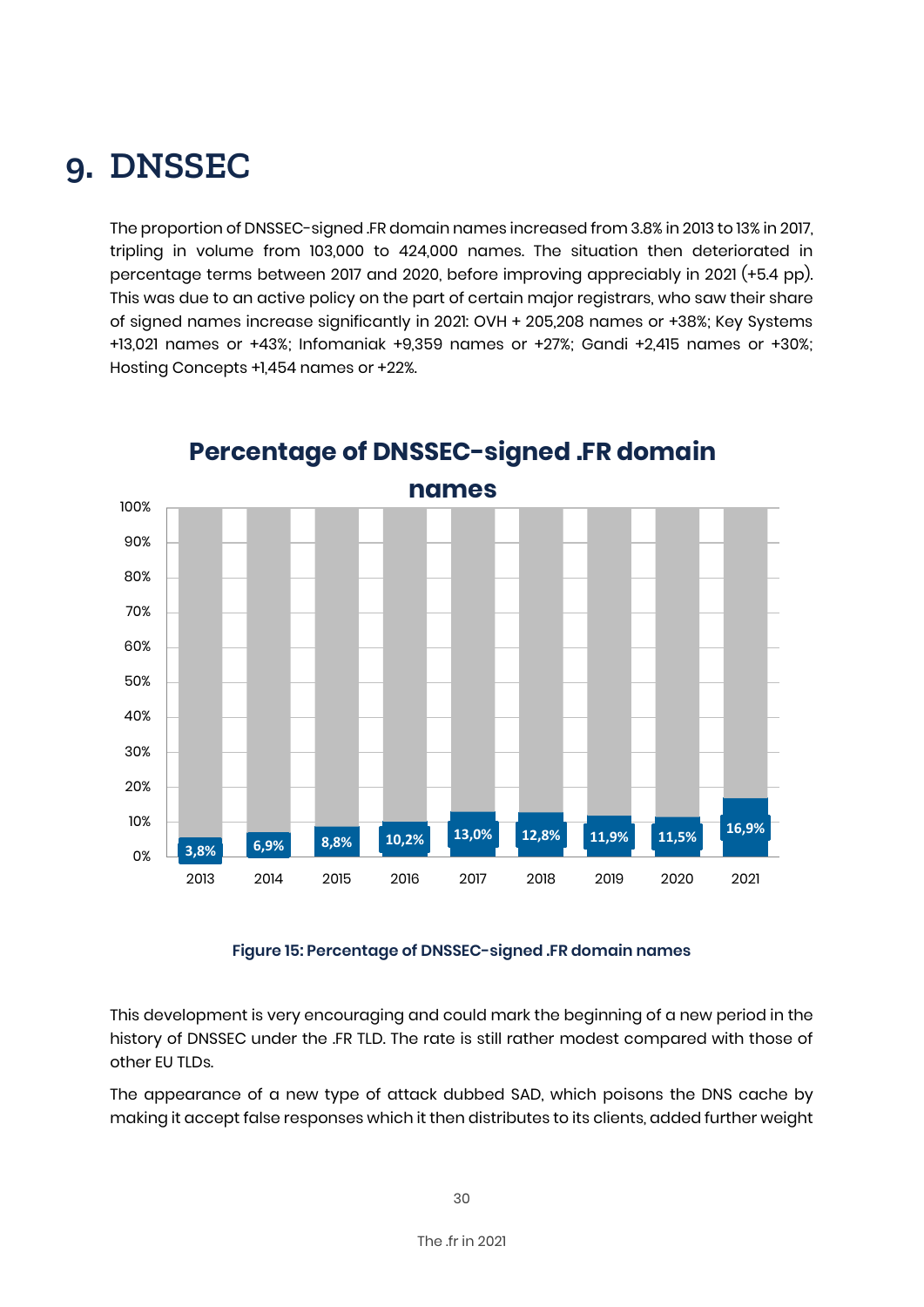### **9. DNSSEC**

The proportion of DNSSEC-signed .FR domain names increased from 3.8% in 2013 to 13% in 2017, tripling in volume from 103,000 to 424,000 names. The situation then deteriorated in percentage terms between 2017 and 2020, before improving appreciably in 2021 (+5.4 pp). This was due to an active policy on the part of certain major registrars, who saw their share of signed names increase significantly in 2021: OVH + 205,208 names or +38%; Key Systems +13,021 names or +43%; Infomaniak +9,359 names or +27%; Gandi +2,415 names or +30%; Hosting Concepts +1,454 names or +22%.



### **Percentage of DNSSEC-signed .FR domain**

**Figure 15: Percentage of DNSSEC-signed .FR domain names**

This development is very encouraging and could mark the beginning of a new period in the history of DNSSEC under the .FR TLD. The rate is still rather modest compared with those of other EU TLDs.

The appearance of a new type of attack dubbed SAD, which poisons the DNS cache by making it accept false responses which it then distributes to its clients, added further weight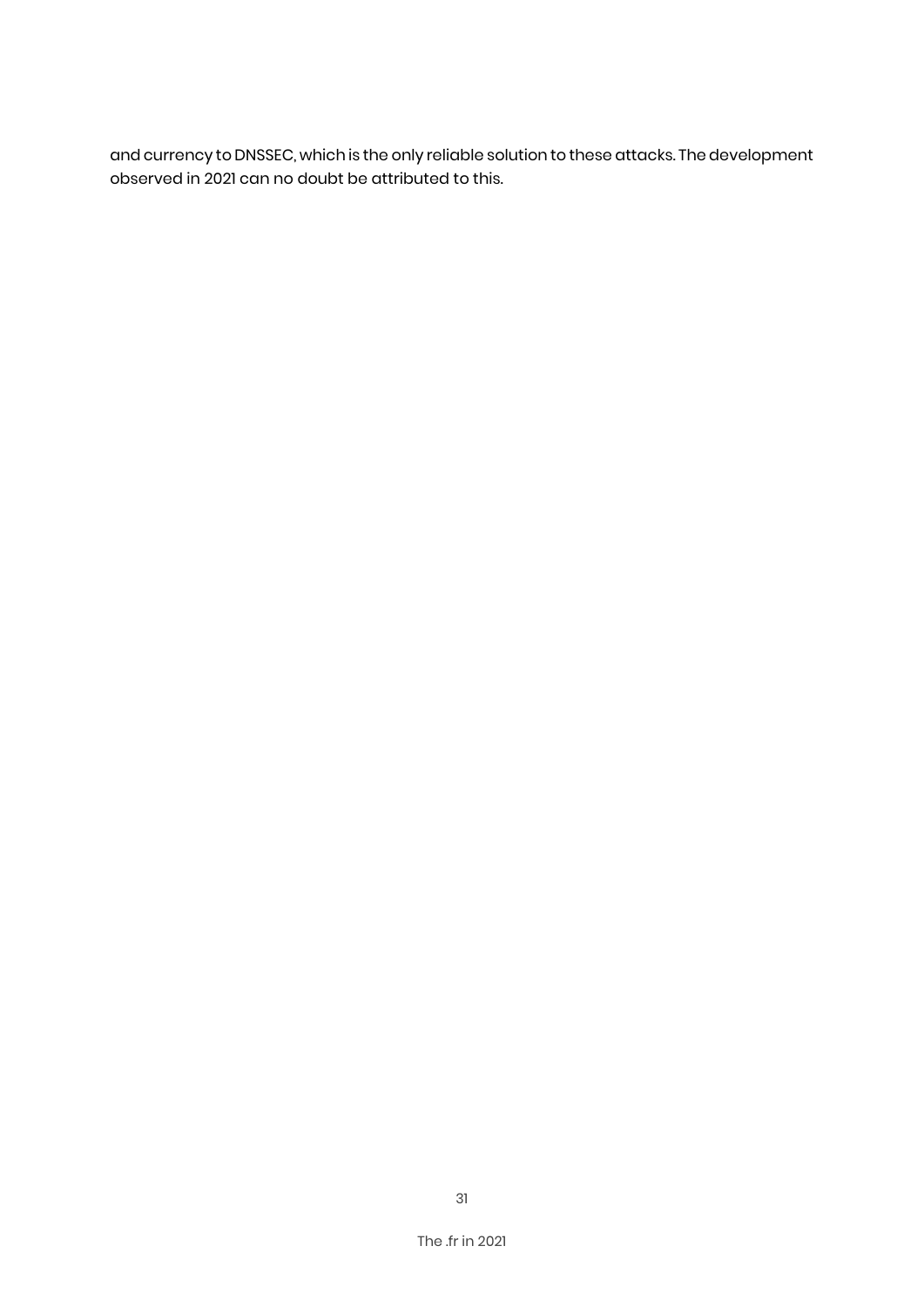and currency to DNSSEC, which is the only reliable solution to these attacks. The development observed in 2021 can no doubt be attributed to this.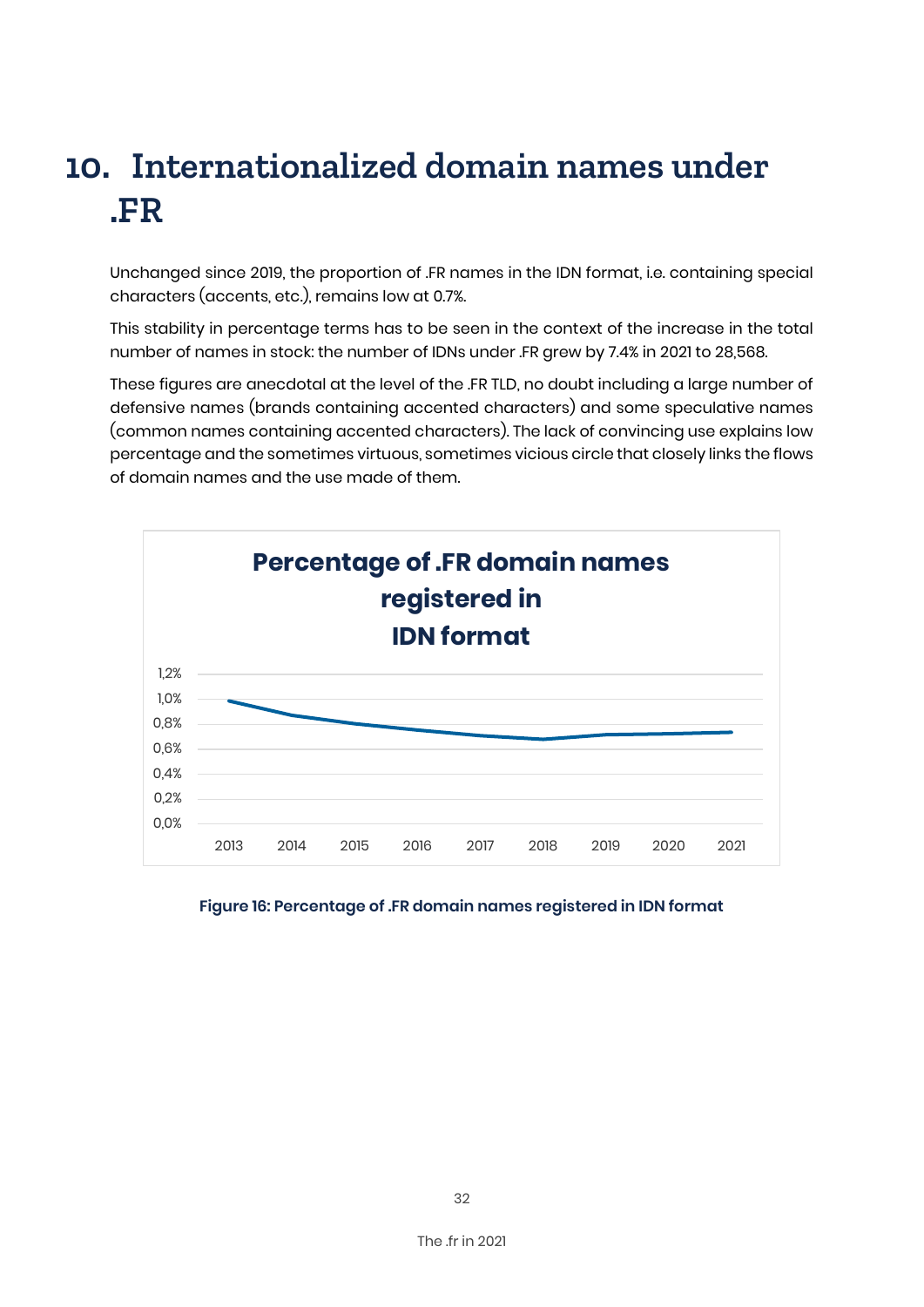# **10. Internationalized domain names under .FR**

Unchanged since 2019, the proportion of .FR names in the IDN format, i.e. containing special characters (accents, etc.), remains low at 0.7%.

This stability in percentage terms has to be seen in the context of the increase in the total number of names in stock: the number of IDNs under .FR grew by 7.4% in 2021 to 28,568.

These figures are anecdotal at the level of the .FR TLD, no doubt including a large number of defensive names (brands containing accented characters) and some speculative names (common names containing accented characters). The lack of convincing use explains low percentage and the sometimes virtuous, sometimes vicious circle that closely links the flows of domain names and the use made of them.



#### **Figure 16: Percentage of .FR domain names registered in IDN format**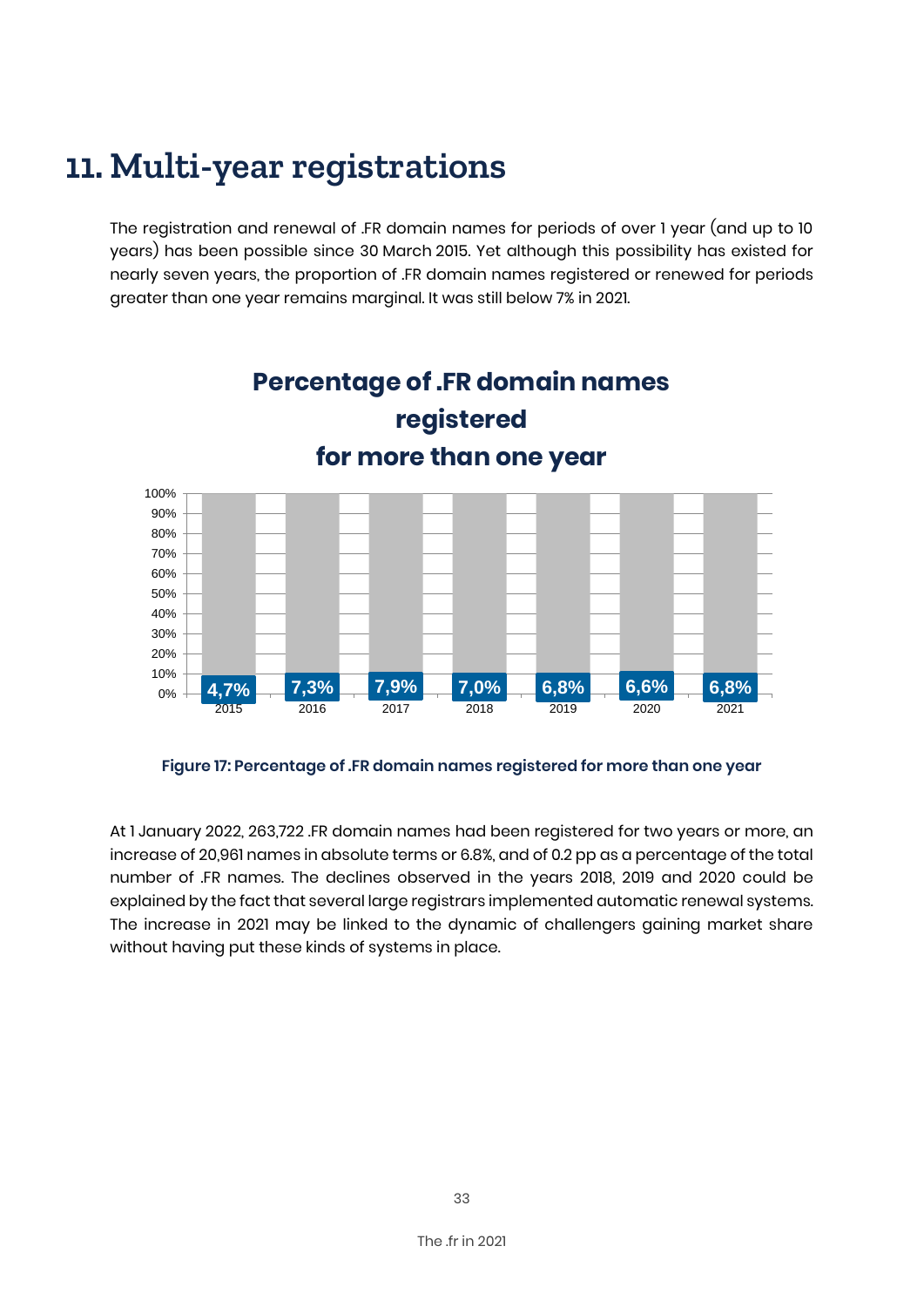### **11. Multi-year registrations**

The registration and renewal of .FR domain names for periods of over 1 year (and up to 10 years) has been possible since 30 March 2015. Yet although this possibility has existed for nearly seven years, the proportion of .FR domain names registered or renewed for periods greater than one year remains marginal. It was still below 7% in 2021.



**Figure 17: Percentage of .FR domain names registered for more than one year**

At 1 January 2022, 263,722 .FR domain names had been registered for two years or more, an increase of 20,961 names in absolute terms or 6.8%, and of 0.2 pp as a percentage of the total number of .FR names. The declines observed in the years 2018, 2019 and 2020 could be explained by the fact that several large registrars implemented automatic renewal systems. The increase in 2021 may be linked to the dynamic of challengers gaining market share without having put these kinds of systems in place.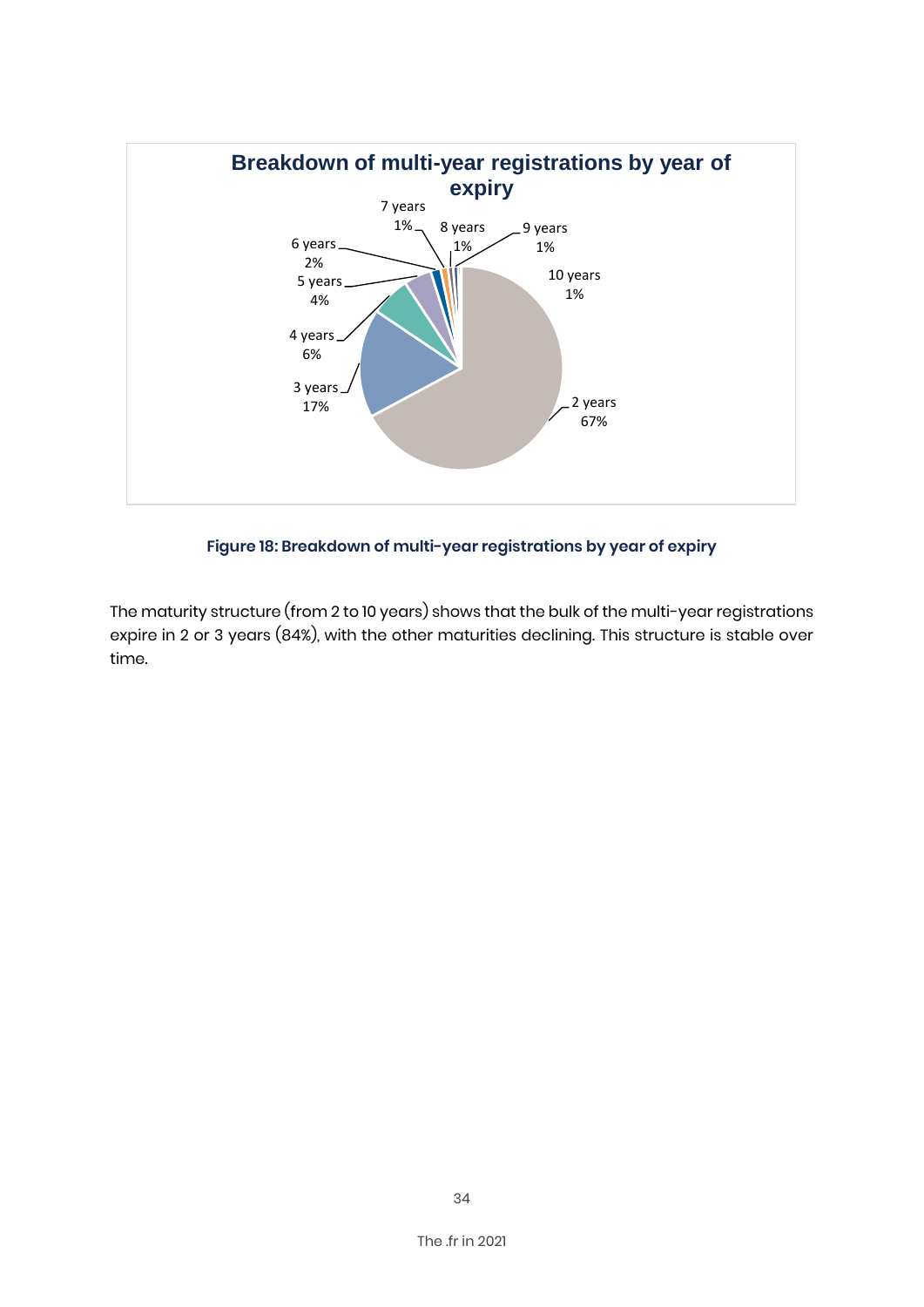

**Figure 18: Breakdown of multi-year registrations by year of expiry**

The maturity structure (from 2 to 10 years) shows that the bulk of the multi-year registrations expire in 2 or 3 years (84%), with the other maturities declining. This structure is stable over time.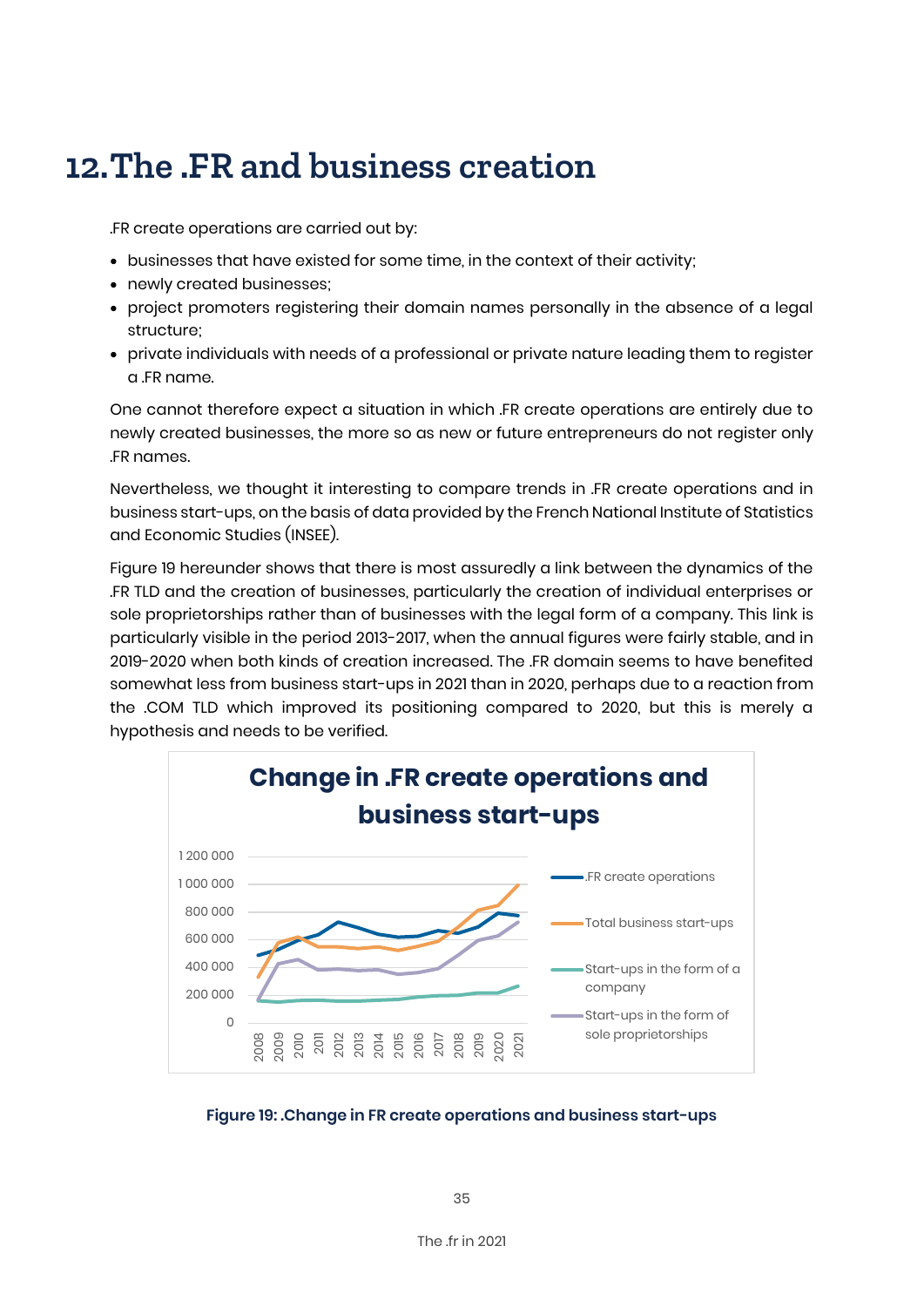### **12.The .FR and business creation**

.FR create operations are carried out by:

- businesses that have existed for some time, in the context of their activity;
- newly created businesses;
- project promoters registering their domain names personally in the absence of a legal structure;
- private individuals with needs of a professional or private nature leading them to register a .FR name.

One cannot therefore expect a situation in which .FR create operations are entirely due to newly created businesses, the more so as new or future entrepreneurs do not register only .FR names.

Nevertheless, we thought it interesting to compare trends in .FR create operations and in business start-ups, on the basis of data provided by the French National Institute of Statistics and Economic Studies (INSEE).

Figure 19 hereunder shows that there is most assuredly a link between the dynamics of the .FR TLD and the creation of businesses, particularly the creation of individual enterprises or sole proprietorships rather than of businesses with the legal form of a company. This link is particularly visible in the period 2013-2017, when the annual figures were fairly stable, and in 2019-2020 when both kinds of creation increased. The .FR domain seems to have benefited somewhat less from business start-ups in 2021 than in 2020, perhaps due to a reaction from the .COM TLD which improved its positioning compared to 2020, but this is merely a hypothesis and needs to be verified.



**Figure 19: .Change in FR create operations and business start-ups**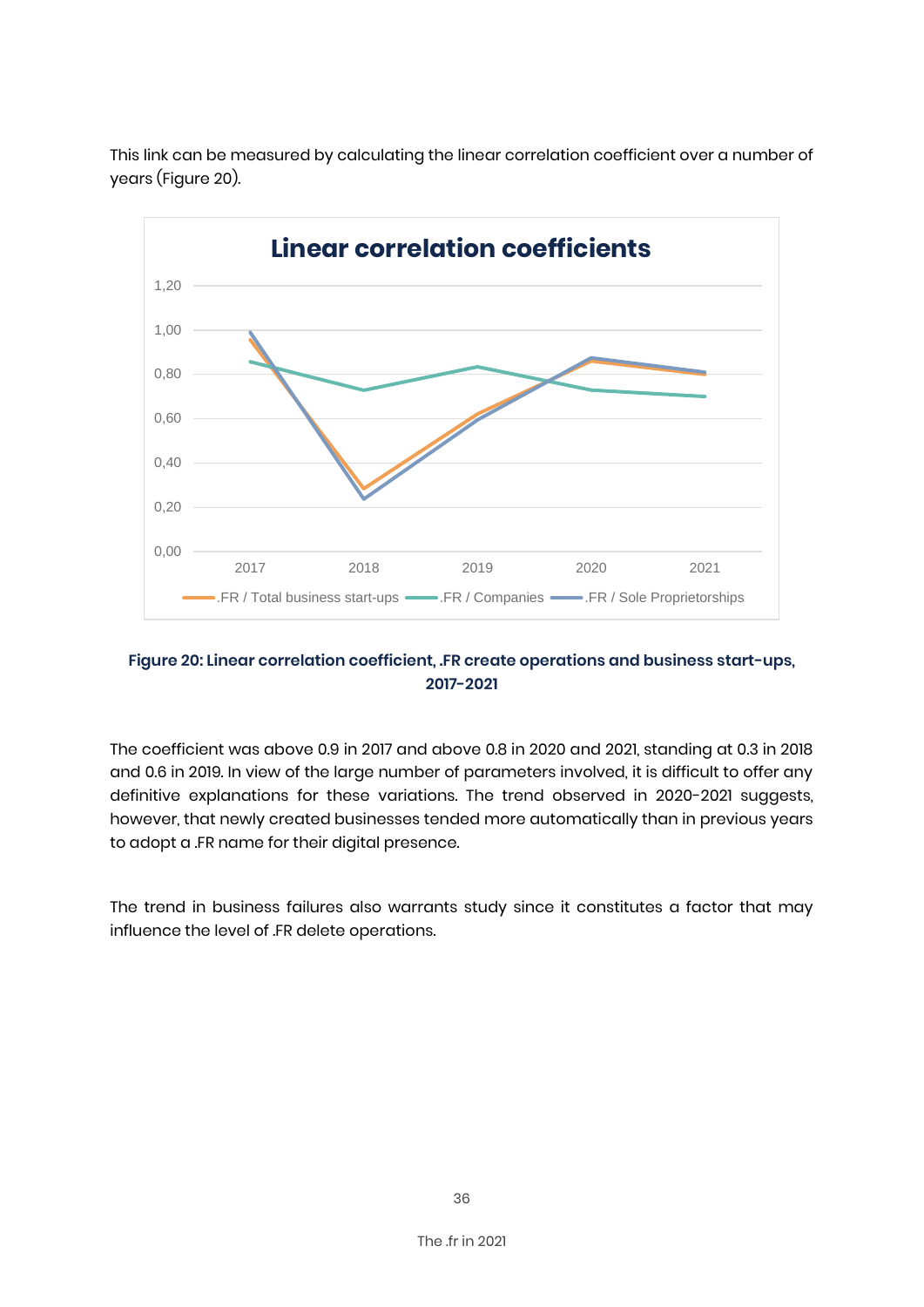

This link can be measured by calculating the linear correlation coefficient over a number of years (Figure 20).

#### **Figure 20: Linear correlation coefficient, .FR create operations and business start-ups, 2017-2021**

The coefficient was above 0.9 in 2017 and above 0.8 in 2020 and 2021, standing at 0.3 in 2018 and 0.6 in 2019. In view of the large number of parameters involved, it is difficult to offer any definitive explanations for these variations. The trend observed in 2020-2021 suggests, however, that newly created businesses tended more automatically than in previous years to adopt a .FR name for their digital presence.

The trend in business failures also warrants study since it constitutes a factor that may influence the level of .FR delete operations.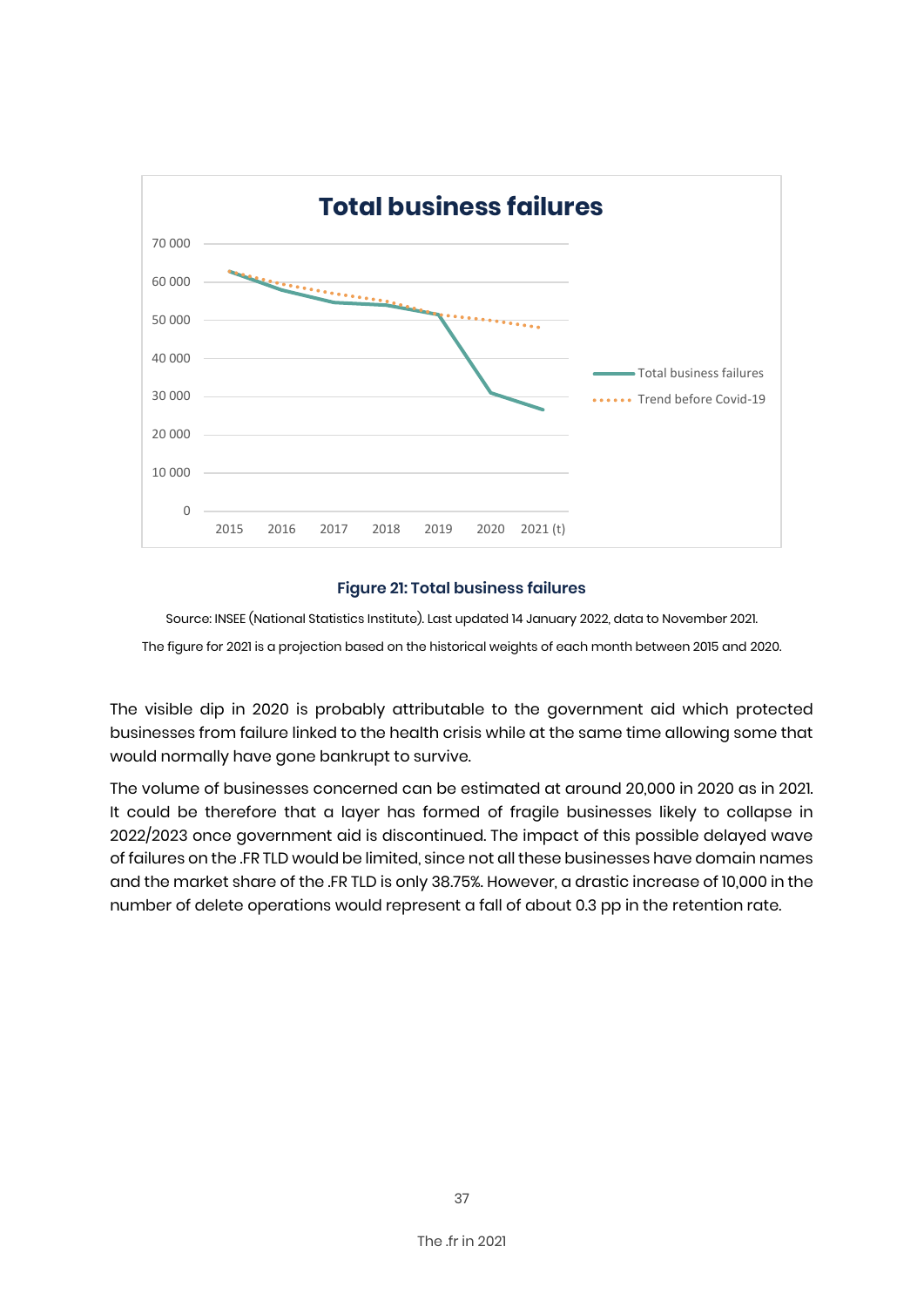

#### **Figure 21: Total business failures**

Source: INSEE (National Statistics Institute). Last updated 14 January 2022, data to November 2021. The figure for 2021 is a projection based on the historical weights of each month between 2015 and 2020.

The visible dip in 2020 is probably attributable to the government aid which protected businesses from failure linked to the health crisis while at the same time allowing some that would normally have gone bankrupt to survive.

The volume of businesses concerned can be estimated at around 20,000 in 2020 as in 2021. It could be therefore that a layer has formed of fragile businesses likely to collapse in 2022/2023 once government aid is discontinued. The impact of this possible delayed wave of failures on the .FR TLD would be limited, since not all these businesses have domain names and the market share of the .FR TLD is only 38.75%. However, a drastic increase of 10,000 in the number of delete operations would represent a fall of about 0.3 pp in the retention rate.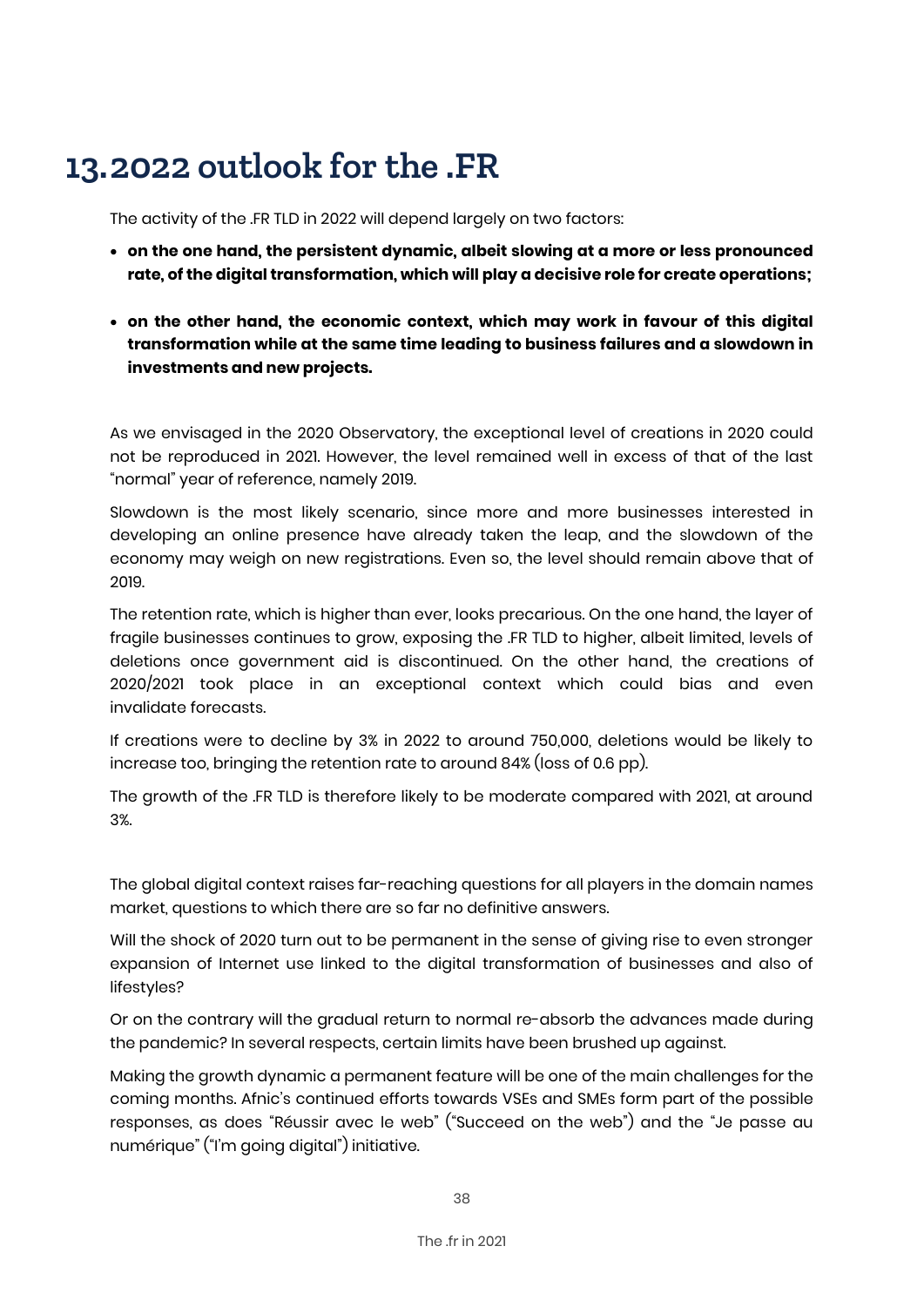# **13.2022 outlook for the .FR**

The activity of the .FR TLD in 2022 will depend largely on two factors:

- **on the one hand, the persistent dynamic, albeit slowing at a more or less pronounced rate, of the digital transformation, which will play a decisive role for create operations;**
- **on the other hand, the economic context, which may work in favour of this digital transformation while at the same time leading to business failures and a slowdown in investments and new projects.**

As we envisaged in the 2020 Observatory, the exceptional level of creations in 2020 could not be reproduced in 2021. However, the level remained well in excess of that of the last "normal" year of reference, namely 2019.

Slowdown is the most likely scenario, since more and more businesses interested in developing an online presence have already taken the leap, and the slowdown of the economy may weigh on new registrations. Even so, the level should remain above that of 2019.

The retention rate, which is higher than ever, looks precarious. On the one hand, the layer of fragile businesses continues to grow, exposing the .FR TLD to higher, albeit limited, levels of deletions once government aid is discontinued. On the other hand, the creations of 2020/2021 took place in an exceptional context which could bias and even invalidate forecasts.

If creations were to decline by 3% in 2022 to around 750,000, deletions would be likely to increase too, bringing the retention rate to around 84% (loss of 0.6 pp).

The growth of the .FR TLD is therefore likely to be moderate compared with 2021, at around 3%.

The global digital context raises far-reaching questions for all players in the domain names market, questions to which there are so far no definitive answers.

Will the shock of 2020 turn out to be permanent in the sense of giving rise to even stronger expansion of Internet use linked to the digital transformation of businesses and also of lifestyles?

Or on the contrary will the gradual return to normal re-absorb the advances made during the pandemic? In several respects, certain limits have been brushed up against.

Making the growth dynamic a permanent feature will be one of the main challenges for the coming months. Afnic's continued efforts towards VSEs and SMEs form part of the possible responses, as does "Réussir avec le web" ("Succeed on the web") and the "Je passe au numérique" ("I'm going digital") initiative.